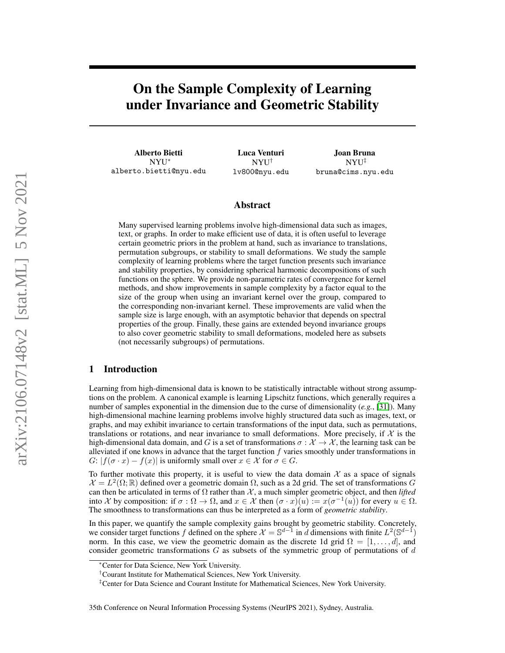# On the Sample Complexity of Learning under Invariance and Geometric Stability

Alberto Bietti NYU<sup>∗</sup> alberto.bietti@nyu.edu

Luca Venturi NYU† lv800@nyu.edu

Joan Bruna NYU‡ bruna@cims.nyu.edu

### Abstract

Many supervised learning problems involve high-dimensional data such as images, text, or graphs. In order to make efficient use of data, it is often useful to leverage certain geometric priors in the problem at hand, such as invariance to translations, permutation subgroups, or stability to small deformations. We study the sample complexity of learning problems where the target function presents such invariance and stability properties, by considering spherical harmonic decompositions of such functions on the sphere. We provide non-parametric rates of convergence for kernel methods, and show improvements in sample complexity by a factor equal to the size of the group when using an invariant kernel over the group, compared to the corresponding non-invariant kernel. These improvements are valid when the sample size is large enough, with an asymptotic behavior that depends on spectral properties of the group. Finally, these gains are extended beyond invariance groups to also cover geometric stability to small deformations, modeled here as subsets (not necessarily subgroups) of permutations.

### 1 Introduction

Learning from high-dimensional data is known to be statistically intractable without strong assumptions on the problem. A canonical example is learning Lipschitz functions, which generally requires a number of samples exponential in the dimension due to the curse of dimensionality (*e.g.*, [\[31\]](#page-11-0)). Many high-dimensional machine learning problems involve highly structured data such as images, text, or graphs, and may exhibit invariance to certain transformations of the input data, such as permutations, translations or rotations, and near invariance to small deformations. More precisely, if  $\chi$  is the high-dimensional data domain, and G is a set of transformations  $\sigma : \mathcal{X} \to \mathcal{X}$ , the learning task can be alleviated if one knows in advance that the target function  $f$  varies smoothly under transformations in  $G: |f(\sigma \cdot x) - f(x)|$  is uniformly small over  $x \in \mathcal{X}$  for  $\sigma \in G$ .

To further motivate this property, it is useful to view the data domain  $\mathcal X$  as a space of signals  $\mathcal{X} = L^2(\Omega;\mathbb{R})$  defined over a geometric domain  $\Omega$ , such as a 2d grid. The set of transformations G can then be articulated in terms of  $\Omega$  rather than  $\mathcal{X}$ , a much simpler geometric object, and then *lifted* into X by composition: if  $\sigma : \Omega \to \Omega$ , and  $x \in \mathcal{X}$  then  $(\sigma \cdot x)(u) := x(\sigma^{-1}(u))$  for every  $u \in \Omega$ . The smoothness to transformations can thus be interpreted as a form of *geometric stability*.

In this paper, we quantify the sample complexity gains brought by geometric stability. Concretely, we consider target functions f defined on the sphere  $\mathcal{X} = \mathbb{S}^{d-1}$  in d dimensions with finite  $L^2(\mathbb{S}^{d-1})$ norm. In this case, we view the geometric domain as the discrete 1d grid  $\Omega = [1, \ldots, d]$ , and consider geometric transformations  $G$  as subsets of the symmetric group of permutations of  $d$ 

<sup>∗</sup>Center for Data Science, New York University.

<sup>†</sup>Courant Institute for Mathematical Sciences, New York University.

<sup>‡</sup>Center for Data Science and Courant Institute for Mathematical Sciences, New York University.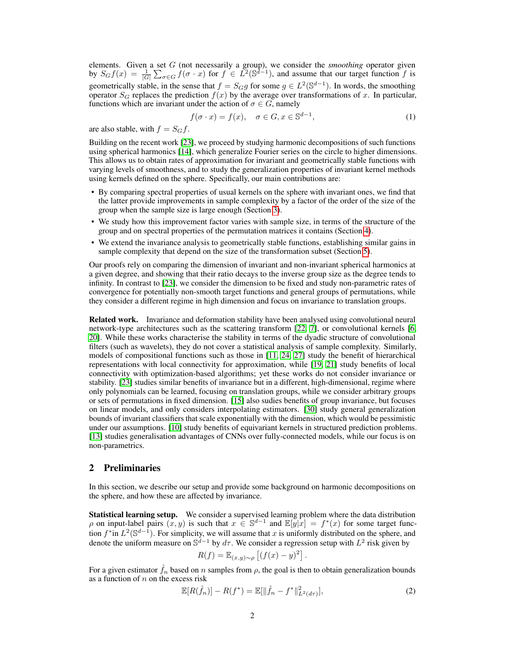elements. Given a set G (not necessarily a group), we consider the *smoothing* operator given by  $S_G f(x) = \frac{1}{|G|} \sum_{\sigma \in G} \hat{f}(\sigma \cdot x)$  for  $f \in L^2(\mathbb{S}^{d-1})$ , and assume that our target function f is geometrically stable, in the sense that  $f = S_G g$  for some  $g \in L^2(\mathbb{S}^{d-1})$ . In words, the smoothing operator  $S_G$  replaces the prediction  $f(x)$  by the average over transformations of x. In particular, functions which are invariant under the action of  $\sigma \in G$ , namely

<span id="page-1-0"></span>
$$
f(\sigma \cdot x) = f(x), \quad \sigma \in G, x \in \mathbb{S}^{d-1}, \tag{1}
$$

are also stable, with  $f = S_G f$ .

Building on the recent work [\[23\]](#page-11-1), we proceed by studying harmonic decompositions of such functions using spherical harmonics [\[14\]](#page-10-0), which generalize Fourier series on the circle to higher dimensions. This allows us to obtain rates of approximation for invariant and geometrically stable functions with varying levels of smoothness, and to study the generalization properties of invariant kernel methods using kernels defined on the sphere. Specifically, our main contributions are:

- By comparing spectral properties of usual kernels on the sphere with invariant ones, we find that the latter provide improvements in sample complexity by a factor of the order of the size of the group when the sample size is large enough (Section [3\)](#page-2-0).
- We study how this improvement factor varies with sample size, in terms of the structure of the group and on spectral properties of the permutation matrices it contains (Section [4\)](#page-5-0).
- We extend the invariance analysis to geometrically stable functions, establishing similar gains in sample complexity that depend on the size of the transformation subset (Section [5\)](#page-7-0).

Our proofs rely on comparing the dimension of invariant and non-invariant spherical harmonics at a given degree, and showing that their ratio decays to the inverse group size as the degree tends to infinity. In contrast to [\[23\]](#page-11-1), we consider the dimension to be fixed and study non-parametric rates of convergence for potentially non-smooth target functions and general groups of permutations, while they consider a different regime in high dimension and focus on invariance to translation groups.

Related work. Invariance and deformation stability have been analysed using convolutional neural network-type architectures such as the scattering transform [\[22,](#page-11-2) [7\]](#page-10-1), or convolutional kernels [\[6,](#page-10-2) [20\]](#page-10-3). While these works characterise the stability in terms of the dyadic structure of convolutional filters (such as wavelets), they do not cover a statistical analysis of sample complexity. Similarly, models of compositional functions such as those in [\[11,](#page-10-4) [24,](#page-11-3) [27\]](#page-11-4) study the benefit of hierarchical representations with local connectivity for approximation, while [\[19,](#page-10-5) [21\]](#page-11-5) study benefits of local connectivity with optimization-based algorithms; yet these works do not consider invariance or stability. [\[23\]](#page-11-1) studies similar benefits of invariance but in a different, high-dimensional, regime where only polynomials can be learned, focusing on translation groups, while we consider arbitrary groups or sets of permutations in fixed dimension. [\[15\]](#page-10-6) also sudies benefits of group invariance, but focuses on linear models, and only considers interpolating estimators. [\[30\]](#page-11-6) study general generalization bounds of invariant classifiers that scale exponentially with the dimension, which would be pessimistic under our assumptions. [\[10\]](#page-10-7) study benefits of equivariant kernels in structured prediction problems. [\[13\]](#page-10-8) studies generalisation advantages of CNNs over fully-connected models, while our focus is on non-parametrics.

### <span id="page-1-1"></span>2 Preliminaries

In this section, we describe our setup and provide some background on harmonic decompositions on the sphere, and how these are affected by invariance.

Statistical learning setup. We consider a supervised learning problem where the data distribution  $\rho$  on input-label pairs  $(x, y)$  is such that  $x \in \mathbb{S}^{d-1}$  and  $\mathbb{E}[y|x] = f^*(x)$  for some target function  $f^*$  in  $L^2(\mathbb{S}^{d-1})$ . For simplicity, we will assume that x is uniformly distributed on the sphere, and denote the uniform measure on  $\mathbb{S}^{d-1}$  by  $d\tau$ . We consider a regression setup with  $L^2$  risk given by

$$
R(f) = \mathbb{E}_{(x,y)\sim\rho} \left[ (f(x) - y)^2 \right]
$$

For a given estimator  $\hat{f}_n$  based on n samples from  $\rho$ , the goal is then to obtain generalization bounds as a function of  $n$  on the excess risk

$$
\mathbb{E}[R(\hat{f}_n)] - R(f^*) = \mathbb{E}[\|\hat{f}_n - f^*\|_{L^2(d\tau)}^2],\tag{2}
$$

.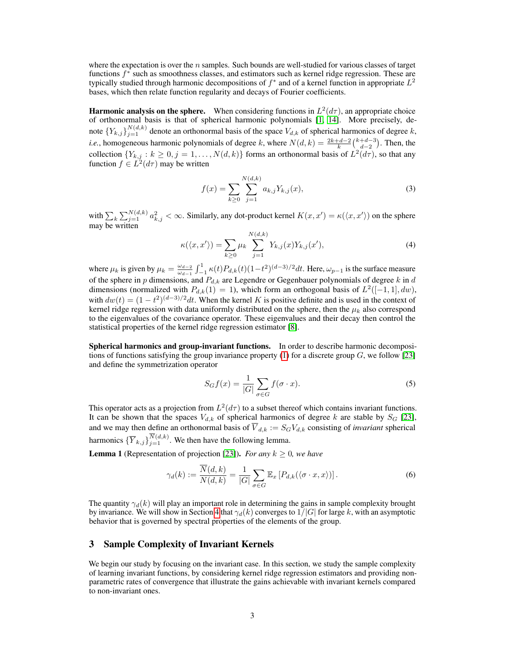where the expectation is over the  $n$  samples. Such bounds are well-studied for various classes of target functions  $f^*$  such as smoothness classes, and estimators such as kernel ridge regression. These are typically studied through harmonic decompositions of  $f^*$  and of a kernel function in appropriate  $L^2$ bases, which then relate function regularity and decays of Fourier coefficients.

**Harmonic analysis on the sphere.** When considering functions in  $L^2(d\tau)$ , an appropriate choice of orthonormal basis is that of spherical harmonic polynomials [\[1,](#page-10-9) [14\]](#page-10-0). More precisely, denote  $\{Y_{k,j}\}_{j=1}^{N(d,k)}$  denote an orthonormal basis of the space  $V_{d,k}$  of spherical harmonics of degree k, *i.e.*, homogeneous harmonic polynomials of degree k, where  $N(d, k) = \frac{2k+d-2}{k} {k+d-3 \choose d-2}$ . Then, the collection  ${Y_{k,j} : k \ge 0, j = 1, ..., N(d,k)}$  forms an orthonormal basis of  $L^2(d\tau)$ , so that any function  $f \in L^2(d\tau)$  may be written

$$
f(x) = \sum_{k \ge 0} \sum_{j=1}^{N(d,k)} a_{k,j} Y_{k,j}(x),
$$
\n(3)

with  $\sum_k \sum_{j=1}^{N(d,k)} a_{k,j}^2 < \infty$ . Similarly, any dot-product kernel  $K(x, x') = \kappa(\langle x, x' \rangle)$  on the sphere may be written

<span id="page-2-1"></span>
$$
\kappa(\langle x, x' \rangle) = \sum_{k \ge 0} \mu_k \sum_{j=1}^{N(d,k)} Y_{k,j}(x) Y_{k,j}(x'), \tag{4}
$$

where  $\mu_k$  is given by  $\mu_k = \frac{\omega_{d-2}}{\omega_{d-1}}$  $\frac{\omega_{d-2}}{\omega_{d-1}} \int_{-1}^{1} \kappa(t) P_{d,k}(t) (1-t^2)^{(d-3)/2} dt$ . Here,  $\omega_{p-1}$  is the surface measure of the sphere in p dimensions, and  $P_{d,k}$  are Legendre or Gegenbauer polynomials of degree k in d dimensions (normalized with  $P_{d,k}(1) = 1$ ), which form an orthogonal basis of  $L^2([-1,1], dw)$ , with  $dw(t) = (1 - t^2)^{(d-3)/2} dt$ . When the kernel K is positive definite and is used in the context of kernel ridge regression with data uniformly distributed on the sphere, then the  $\mu_k$  also correspond to the eigenvalues of the covariance operator. These eigenvalues and their decay then control the statistical properties of the kernel ridge regression estimator [\[8\]](#page-10-10).

Spherical harmonics and group-invariant functions. In order to describe harmonic decompositions of functions satisfying the group invariance property  $(1)$  for a discrete group  $G$ , we follow [\[23\]](#page-11-1) and define the symmetrization operator

<span id="page-2-2"></span>
$$
S_G f(x) = \frac{1}{|G|} \sum_{\sigma \in G} f(\sigma \cdot x). \tag{5}
$$

This operator acts as a projection from  $L^2(d\tau)$  to a subset thereof which contains invariant functions. It can be shown that the spaces  $V_{d,k}$  of spherical harmonics of degree k are stable by  $S_G$  [\[23\]](#page-11-1), and we may then define an orthonormal basis of  $V_{d,k} := S_G V_{d,k}$  consisting of *invariant* spherical harmonics  $\{\overline{Y}_{k,j}\}_{j=1}^{N(d,k)}$ . We then have the following lemma.

<span id="page-2-3"></span>**Lemma 1** (Representation of projection [\[23\]](#page-11-1)). *For any*  $k \geq 0$ *, we have* 

$$
\gamma_d(k) := \frac{\overline{N}(d,k)}{N(d,k)} = \frac{1}{|G|} \sum_{\sigma \in G} \mathbb{E}_x \left[ P_{d,k}(\langle \sigma \cdot x, x \rangle) \right]. \tag{6}
$$

The quantity  $\gamma_d(k)$  will play an important role in determining the gains in sample complexity brought by invariance. We will show in Section [4](#page-5-0) that  $\gamma_d(k)$  converges to  $1/|G|$  for large k, with an asymptotic behavior that is governed by spectral properties of the elements of the group.

### <span id="page-2-0"></span>3 Sample Complexity of Invariant Kernels

We begin our study by focusing on the invariant case. In this section, we study the sample complexity of learning invariant functions, by considering kernel ridge regression estimators and providing nonparametric rates of convergence that illustrate the gains achievable with invariant kernels compared to non-invariant ones.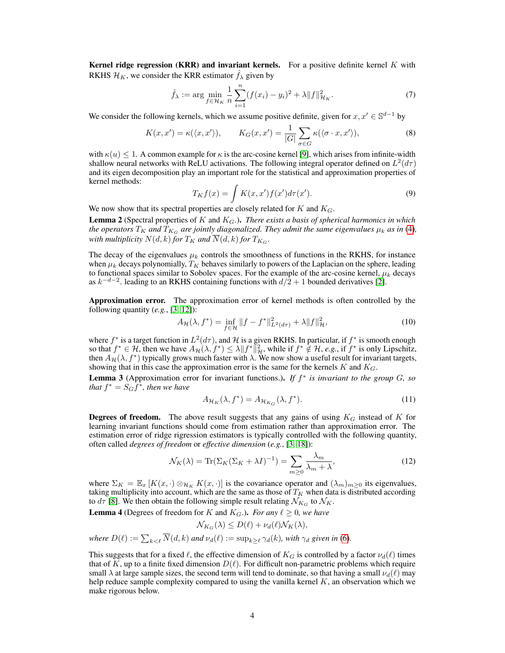**Kernel ridge regression (KRR) and invariant kernels.** For a positive definite kernel K with RKHS  $\mathcal{H}_K$ , we consider the KRR estimator  $f_\lambda$  given by

$$
\hat{f}_{\lambda} := \arg \min_{f \in \mathcal{H}_K} \frac{1}{n} \sum_{i=1}^n (f(x_i) - y_i)^2 + \lambda \|f\|_{\mathcal{H}_K}^2.
$$
 (7)

We consider the following kernels, which we assume positive definite, given for  $x, x' \in \mathbb{S}^{d-1}$  by

$$
K(x, x') = \kappa(\langle x, x' \rangle), \qquad K_G(x, x') = \frac{1}{|G|} \sum_{\sigma \in G} \kappa(\langle \sigma \cdot x, x' \rangle), \tag{8}
$$

with  $\kappa(u) \leq 1$ . A common example for  $\kappa$  is the arc-cosine kernel [\[9\]](#page-10-11), which arises from infinite-width shallow neural networks with ReLU activations. The following integral operator defined on  $L^2(d\tau)$ and its eigen decomposition play an important role for the statistical and approximation properties of kernel methods:

$$
T_K f(x) = \int K(x, x') f(x') d\tau(x'). \tag{9}
$$

We now show that its spectral properties are closely related for  $K$  and  $K_G$ .

<span id="page-3-1"></span>Lemma 2 (Spectral properties of K and KG.). *There exists a basis of spherical harmonics in which the operators*  $T_K$  *and*  $T_{K_G}$  *are jointly diagonalized. They admit the same eigenvalues*  $\mu_k$  *as in* [\(4\)](#page-2-1)*, with multiplicity*  $N(d,k)$  *for*  $T_K$  *and*  $\overline{N}(d,k)$  *for*  $T_{K_G}$ *.* 

The decay of the eigenvalues  $\mu_k$  controls the smoothness of functions in the RKHS, for instance when  $\mu_k$  decays polynomially,  $T_K$  behaves similarly to powers of the Laplacian on the sphere, leading to functional spaces similar to Sobolev spaces. For the example of the arc-cosine kernel,  $\mu_k$  decays as  $k^{-d-2}$ . leading to an RKHS containing functions with  $d/2 + 1$  bounded derivatives [\[2\]](#page-10-12).

Approximation error. The approximation error of kernel methods is often controlled by the following quantity (*e.g.*, [\[3,](#page-10-13) [12\]](#page-10-14)):

$$
A_{\mathcal{H}}(\lambda, f^*) = \inf_{f \in \mathcal{H}} \|f - f^*\|_{L^2(d\tau)}^2 + \lambda \|f\|_{\mathcal{H}}^2,
$$
\n(10)

where  $f^*$  is a target function in  $L^2(d\tau)$ , and H is a given RKHS. In particular, if  $f^*$  is smooth enough so that  $f^* \in \mathcal{H}$ , then we have  $A_{\mathcal{H}}(\lambda, f^*) \leq \lambda \|f^*\|_{\mathcal{H}}^2$ , while if  $f^* \notin \mathcal{H}$ , *e.g.*, if  $f^*$  is only Lipschitz, then  $A_{\mathcal{H}}(\lambda, f^*)$  typically grows much faster with  $\lambda$ . We now show a useful result for invariant targets, showing that in this case the approximation error is the same for the kernels  $K$  and  $K_G$ .

<span id="page-3-2"></span>Lemma 3 (Approximation error for invariant functions.). *If* f ∗ *is invariant to the group* G*, so that*  $f^* = S_G \tilde{f}^*$ *, then we have* 

$$
A_{\mathcal{H}_K}(\lambda, f^*) = A_{\mathcal{H}_{K_G}}(\lambda, f^*). \tag{11}
$$

**Degrees of freedom.** The above result suggests that any gains of using  $K_G$  instead of K for learning invariant functions should come from estimation rather than approximation error. The estimation error of ridge rigression estimators is typically controlled with the following quantity, often called *degrees of freedom* or *effective dimension* (*e.g.*, [\[3,](#page-10-13) [18\]](#page-10-15)):

$$
\mathcal{N}_K(\lambda) = \text{Tr}(\Sigma_K(\Sigma_K + \lambda I)^{-1}) = \sum_{m \ge 0} \frac{\lambda_m}{\lambda_m + \lambda},\tag{12}
$$

where  $\Sigma_K = \mathbb{E}_x [K(x, \cdot) \otimes_{\mathcal{H}_K} K(x, \cdot)]$  is the covariance operator and  $(\lambda_m)_{m \geq 0}$  its eigenvalues, taking multiplicity into account, which are the same as those of  $T_K$  when data is distributed according to  $d\tau$  [\[8\]](#page-10-10). We then obtain the following simple result relating  $\mathcal{N}_{K_G}$  to  $\mathcal{N}_K$ .

<span id="page-3-0"></span>**Lemma 4** (Degrees of freedom for K and  $K_G$ .). *For any*  $\ell \geq 0$ *, we have* 

$$
\mathcal{N}_{K_G}(\lambda) \le D(\ell) + \nu_d(\ell) \mathcal{N}_K(\lambda),
$$

*where*  $D(\ell) := \sum_{k < \ell} \overline{N}(d, k)$  *and*  $\nu_d(\ell) := \sup_{k \geq \ell} \gamma_d(k)$ *, with*  $\gamma_d$  *given in* [\(6\)](#page-2-2)*.* 

This suggests that for a fixed  $\ell$ , the effective dimension of  $K_G$  is controlled by a factor  $\nu_d(\ell)$  times that of K, up to a finite fixed dimension  $D(\ell)$ . For difficult non-parametric problems which require small  $\lambda$  at large sample sizes, the second term will tend to dominate, so that having a small  $\nu_d(\ell)$  may help reduce sample complexity compared to using the vanilla kernel  $K$ , an observation which we make rigorous below.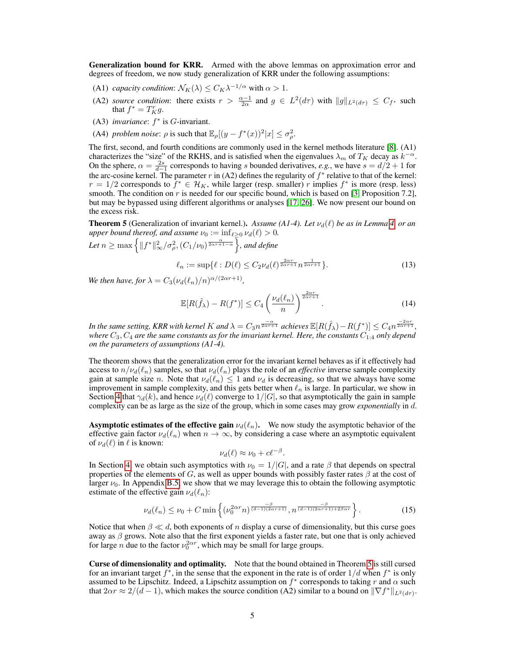Generalization bound for KRR. Armed with the above lemmas on approximation error and degrees of freedom, we now study generalization of KRR under the following assumptions:

- (A1) *capacity condition*:  $\mathcal{N}_K(\lambda) \leq C_K \lambda^{-1/\alpha}$  with  $\alpha > 1$ .
- (A2) *source condition*: there exists  $r > \frac{\alpha 1}{2\alpha}$  and  $g \in L^2(d\tau)$  with  $||g||_{L^2(d\tau)} \leq C_{f^*}$  such that  $f^* = T_K^r g$ .
- (A3) *invariance*:  $f^*$  is  $G$ -invariant.
- (A4) *problem noise*:  $\rho$  is such that  $\mathbb{E}_{\rho}[(y f^*(x))^2 | x] \le \sigma_{\rho}^2$ .

The first, second, and fourth conditions are commonly used in the kernel methods literature [\[8\]](#page-10-10). (A1) characterizes the "size" of the RKHS, and is satisfied when the eigenvalues  $\lambda_m$  of  $T_K$  decay as  $k^{-\alpha}$ . On the sphere,  $\alpha = \frac{2s}{d-1}$  corresponds to having s bounded derivatives, e.g., we have  $s = d/2 + 1$  for the arc-cosine kernel. The parameter r in (A2) defines the regularity of  $f^*$  relative to that of the kernel:  $r = 1/2$  corresponds to  $\hat{f}^* \in \mathcal{H}_K$ , while larger (resp. smaller) r implies  $f^*$  is more (resp. less) smooth. The condition on  $r$  is needed for our specific bound, which is based on [\[3,](#page-10-13) Proposition 7.2], but may be bypassed using different algorithms or analyses [\[17,](#page-10-16) [26\]](#page-11-7). We now present our bound on the excess risk.

<span id="page-4-0"></span>**Theorem 5** (Generalization of invariant kernel.). Assume (A1-4). Let  $\nu_d(\ell)$  be as in Lemma [4,](#page-3-0) or an *upper bound thereof, and assume*  $\nu_0 := \inf_{\ell > 0} \nu_d(\ell) > 0$ *.* 

Let 
$$
n \ge \max\left\{\|f^*\|_{\infty}^2/\sigma_{\rho}^2, (C_1/\nu_0)^{\frac{\alpha}{2\alpha r+1-\alpha}}\right\}
$$
, and define

<span id="page-4-2"></span>
$$
\ell_n := \sup \{ \ell : D(\ell) \le C_2 \nu_d(\ell)^{\frac{2\alpha r}{2\alpha r + 1}} n^{\frac{1}{2\alpha r + 1}} \}.
$$
\n(13)

*We then have, for*  $\lambda = C_3(\nu_d(\ell_n)/n)^{\alpha/(2\alpha r + 1)}$ ,

$$
\mathbb{E}[R(\hat{f}_{\lambda}) - R(f^*)] \le C_4 \left(\frac{\nu_d(\ell_n)}{n}\right)^{\frac{2\alpha r}{2\alpha r + 1}}.
$$
\n(14)

*In the same setting, KRR with kernel K and*  $\lambda = C_3 n^{\frac{-\alpha}{2\alpha r+1}}$  achieves  $\mathbb{E}[R(\hat{f}_\lambda) - R(f^*)] \leq C_4 n^{\frac{-2\alpha r}{2\alpha r+1}}$ ,  $w$ here  $C_3, C_4$  are the same constants as for the invariant kernel. Here, the constants  $C_{1:4}$  only depend *on the parameters of assumptions (A1-4).*

The theorem shows that the generalization error for the invariant kernel behaves as if it effectively had access to  $n/\nu_d(\ell_n)$  samples, so that  $\nu_d(\ell_n)$  plays the role of an *effective* inverse sample complexity gain at sample size n. Note that  $\nu_d(\ell_n) \leq 1$  and  $\nu_d$  is decreasing, so that we always have some improvement in sample complexity, and this gets better when  $\ell_n$  is large. In particular, we show in Section [4](#page-5-0) that  $\gamma_d(k)$ , and hence  $\nu_d(\ell)$  converge to  $1/|G|$ , so that asymptotically the gain in sample complexity can be as large as the size of the group, which in some cases may grow *exponentially* in d.

**Asymptotic estimates of the effective gain**  $\nu_d(\ell_n)$ . We now study the asymptotic behavior of the effective gain factor  $\nu_d(\ell_n)$  when  $n \to \infty$ , by considering a case where an asymptotic equivalent of  $\nu_d(\ell)$  in  $\ell$  is known:

<span id="page-4-1"></span>
$$
\nu_d(\ell) \approx \nu_0 + c\ell^{-\beta}.
$$

In Section [4,](#page-5-0) we obtain such asymptotics with  $\nu_0 = 1/|G|$ , and a rate  $\beta$  that depends on spectral properties of the elements of G, as well as upper bounds with possibly faster rates  $\beta$  at the cost of larger  $\nu_0$ . In Appendix [B.5,](#page-15-0) we show that we may leverage this to obtain the following asymptotic estimate of the effective gain  $\nu_d(\ell_n)$ :

$$
\nu_d(\ell_n) \le \nu_0 + C \min \left\{ \left( \nu_0^{2\alpha r} n \right)^{\frac{-\beta}{(d-1)(2\alpha r+1)}}, n^{\frac{-\beta}{(d-1)(2\alpha r+1)+2\beta \alpha r}} \right\}.
$$
 (15)

Notice that when  $\beta \ll d$ , both exponents of n display a curse of dimensionality, but this curse goes away as  $\beta$  grows. Note also that the first exponent yields a faster rate, but one that is only achieved for large *n* due to the factor  $\nu_0^{2\alpha r}$ , which may be small for large groups.

Curse of dimensionality and optimality. Note that the bound obtained in Theorem [5](#page-4-0) is still cursed for an invariant target  $f^*$ , in the sense that the exponent in the rate is of order  $1/d$  when  $f^*$  is only assumed to be Lipschitz. Indeed, a Lipschitz assumption on  $f^*$  corresponds to taking r and  $\alpha$  such that  $2\alpha r \approx 2/(d-1)$ , which makes the source condition (A2) similar to a bound on  $\|\nabla f^*\|_{L^2(d\tau)}$ .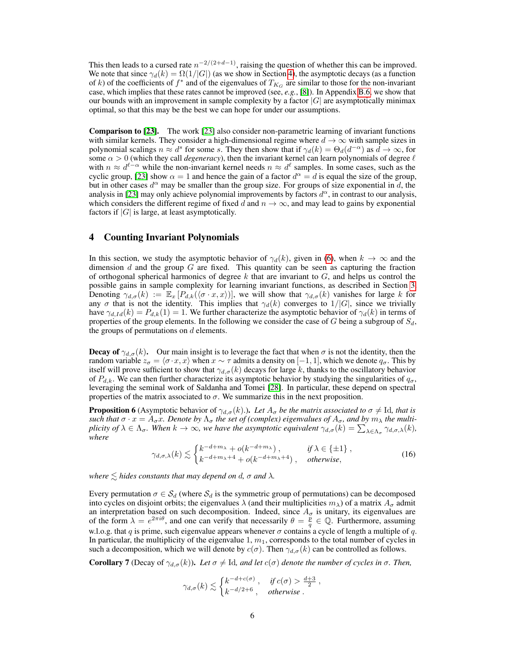This then leads to a cursed rate  $n^{-2/(2+d-1)}$ , raising the question of whether this can be improved. We note that since  $\gamma_d(k) = \Omega(1/|G|)$  (as we show in Section [4\)](#page-5-0), the asymptotic decays (as a function of k) of the coefficients of  $f^*$  and of the eigenvalues of  $T_{K_G}$  are similar to those for the non-invariant case, which implies that these rates cannot be improved (see, *e.g.*, [\[8\]](#page-10-10)). In Appendix [B.6,](#page-15-1) we show that our bounds with an improvement in sample complexity by a factor  $|G|$  are asymptotically minimax optimal, so that this may be the best we can hope for under our assumptions.

Comparison to [\[23\]](#page-11-1). The work [\[23\]](#page-11-1) also consider non-parametric learning of invariant functions with similar kernels. They consider a high-dimensional regime where  $d \to \infty$  with sample sizes in polynomial scalings  $n \approx d^s$  for some s. They then show that if  $\gamma_d(k) = \Theta_d(d^{-\alpha})$  as  $d \to \infty$ , for some  $\alpha > 0$  (which they call *degeneracy*), then the invariant kernel can learn polynomials of degree  $\ell$ with  $n \approx d^{\ell-\alpha}$  while the non-invariant kernel needs  $n \approx d^{\ell}$  samples. In some cases, such as the cyclic group, [\[23\]](#page-11-1) show  $\alpha = 1$  and hence the gain of a factor  $d^{\alpha} = d$  is equal the size of the group, but in other cases  $d^{\alpha}$  may be smaller than the group size. For groups of size exponential in d, the analysis in [\[23\]](#page-11-1) may only achieve polynomial improvements by factors  $d^{\alpha}$ , in contrast to our analysis, which considers the different regime of fixed d and  $n \to \infty$ , and may lead to gains by exponential factors if  $|G|$  is large, at least asymptotically.

### <span id="page-5-0"></span>4 Counting Invariant Polynomials

In this section, we study the asymptotic behavior of  $\gamma_d(k)$ , given in [\(6\)](#page-2-2), when  $k \to \infty$  and the dimension d and the group  $G$  are fixed. This quantity can be seen as capturing the fraction of orthogonal spherical harmonics of degree  $k$  that are invariant to  $G$ , and helps us control the possible gains in sample complexity for learning invariant functions, as described in Section [3.](#page-2-0) Denoting  $\gamma_{d,\sigma}(k) := \mathbb{E}_x [P_{d,k}(\langle \sigma \cdot x, x \rangle)],$  we will show that  $\gamma_{d,\sigma}(k)$  vanishes for large k for any  $\sigma$  that is not the identity. This implies that  $\gamma_d(k)$  converges to 1/|G|, since we trivially have  $\gamma_{d,Id}(k) = P_{d,k}(1) = 1$ . We further characterize the asymptotic behavior of  $\gamma_d(k)$  in terms of properties of the group elements. In the following we consider the case of  $G$  being a subgroup of  $S_d$ , the groups of permutations on  $d$  elements.

**Decay of**  $\gamma_{d,\sigma}(k)$ . Our main insight is to leverage the fact that when  $\sigma$  is not the identity, then the random variable  $z_{\sigma} = \langle \sigma \cdot x, x \rangle$  when  $x \sim \tau$  admits a density on [−1, 1], which we denote  $q_{\sigma}$ . This by itself will prove sufficient to show that  $\gamma_{d,\sigma}(k)$  decays for large k, thanks to the oscillatory behavior of  $P_{d,k}$ . We can then further characterize its asymptotic behavior by studying the singularities of  $q_{\sigma}$ , leveraging the seminal work of Saldanha and Tomei [\[28\]](#page-11-8). In particular, these depend on spectral properties of the matrix associated to  $\sigma$ . We summarize this in the next proposition.

<span id="page-5-2"></span>**Proposition 6** (Asymptotic behavior of  $\gamma_{d,\sigma}(k)$ .). Let  $A_{\sigma}$  be the matrix associated to  $\sigma \neq$  Id, that is *such that*  $\sigma \cdot x = A_{\sigma}x$ . Denote by  $\Lambda_{\sigma}$  *the set of (complex) eigenvalues of*  $A_{\sigma}$ *, and by*  $m_{\lambda}$  *the multiplicity of*  $\lambda \in \Lambda_{\sigma}$ . When  $k \to \infty$ , we have the asymptotic equivalent  $\gamma_{d,\sigma}(k) = \sum_{\lambda \in \Lambda_{\sigma}} \gamma_{d,\sigma,\lambda}(k)$ , *where*

$$
\gamma_{d,\sigma,\lambda}(k) \lesssim \begin{cases} k^{-d+m_{\lambda}} + o(k^{-d+m_{\lambda}}), & \text{if } \lambda \in \{\pm 1\}, \\ k^{-d+m_{\lambda}+4} + o(k^{-d+m_{\lambda}+4}), & \text{otherwise}, \end{cases}
$$
(16)

*where*  $\leq$  *hides constants that may depend on d,*  $\sigma$  *and*  $\lambda$ *.* 

Every permutation  $\sigma \in S_d$  (where  $S_d$  is the symmetric group of permutations) can be decomposed into cycles on disjoint orbits; the eigenvalues  $\lambda$  (and their multiplicities  $m_\lambda$ ) of a matrix  $A_\sigma$  admit an interpretation based on such decomposition. Indeed, since  $A_{\sigma}$  is unitary, its eigenvalues are of the form  $\lambda = e^{2\pi i \theta}$ , and one can verify that necessarily  $\theta = \frac{\overline{p}}{q} \in \mathbb{Q}$ . Furthermore, assuming w.l.o.g. that q is prime, such eigenvalue appears whenever  $\sigma$  contains a cycle of length a multiple of q. In particular, the multiplicity of the eigenvalue  $1, m<sub>1</sub>$ , corresponds to the total number of cycles in such a decomposition, which we will denote by  $c(\sigma)$ . Then  $\gamma_{d,\sigma}(k)$  can be controlled as follows.

<span id="page-5-1"></span>**Corollary 7** (Decay of  $\gamma_{d,\sigma}(k)$ ). Let  $\sigma \neq \text{Id}$ , and let  $c(\sigma)$  denote the number of cycles in  $\sigma$ . Then,

$$
\gamma_{d,\sigma}(k) \lesssim \begin{cases} k^{-d+c(\sigma)}, & \text{if } c(\sigma) > \frac{d+3}{2}, \\ k^{-d/2+6}, & \text{otherwise}. \end{cases}
$$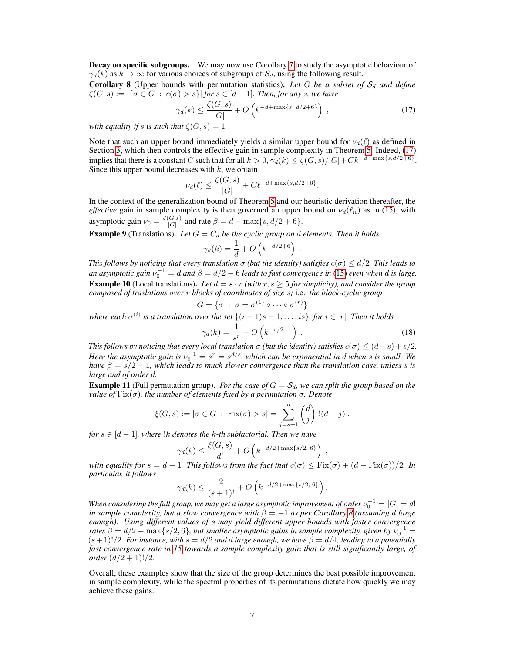**Decay on specific subgroups.** We may now use Corollary [7](#page-5-1) to study the asymptotic behaviour of  $\gamma_d(k)$  as  $k \to \infty$  for various choices of subgroups of  $\mathcal{S}_d$ , using the following result.

<span id="page-6-1"></span>**Corollary 8** (Upper bounds with permutation statistics). Let G be a subset of  $S_d$  and define  $\zeta(G, s) := |\{\sigma \in G \,:\, c(\sigma) > s\}|$  for  $s \in [d-1]$ . Then, for any s, we have

$$
\gamma_d(k) \le \frac{\zeta(G,s)}{|G|} + O\left(k^{-d+\max\{s,\ d/2+6\}}\right) ,\qquad(17)
$$

*with equality if s is such that*  $\zeta(G, s) = 1$ *.* 

Note that such an upper bound immediately yields a similar upper bound for  $\nu_d(\ell)$  as defined in Section [3,](#page-2-0) which then controls the effective gain in sample complexity in Theorem [5.](#page-4-0) Indeed, [\(17\)](#page-6-0) implies that there is a constant C such that for all  $k > 0$ ,  $\gamma_d(k) \leq \zeta(G, s)/|G| + Ck^{-d + \max\{s, d/2 + 6\}}$ . Since this upper bound decreases with  $k$ , we obtain

$$
\nu_d(\ell) \le \frac{\zeta(G,s)}{|G|} + C\ell^{-d + \max\{s,d/2+6\}}.
$$

In the context of the generalization bound of Theorem [5](#page-4-0) and our heuristic derivation thereafter, the *effective* gain in sample complexity is then governed an upper bound on  $\nu_d(\ell_n)$  as in [\(15\)](#page-4-1), with asymptotic gain  $\nu_0 = \frac{\zeta(G,s)}{|G|}$  $\frac{G(s)}{|G|}$  and rate  $\beta = d - \max\{s, d/2 + 6\}.$ 

<span id="page-6-2"></span>**Example 9** (Translations). Let  $G = C_d$  be the cyclic group on d elements. Then it holds

$$
\gamma_d(k) = \frac{1}{d} + O\left(k^{-d/2 + 6}\right)
$$

<span id="page-6-3"></span>*This follows by noticing that every translation*  $\sigma$  *(but the identity) satisfies*  $c(\sigma) \leq d/2$ *. This leads to* an asymptotic gain  $v_0^{-1} = d$  and  $\beta = d/2 - 6$  *leads to fast convergence in* [\(15\)](#page-4-1) *even when* d *is large.* **Example 10** (Local translations). Let  $d = s \cdot r$  *(with*  $r, s \geq 5$  *for simplicity), and consider the group composed of traslations over* r *blocks of coordinates of size* s*;* i.e.*, the block-cyclic group*

$$
G = \{ \sigma \; : \; \sigma = \sigma^{(1)} \circ \cdots \circ \sigma^{(r)} \}
$$

where each  $\sigma^{(i)}$  is a translation over the set  $\{(i-1)s+1,\ldots, is\}$ , for  $i \in [r]$ . Then it holds

$$
\gamma_d(k) = \frac{1}{s^r} + O\left(k^{-s/2+1}\right) \tag{18}
$$

,

<span id="page-6-4"></span><span id="page-6-0"></span>.

*This follows by noticing that every local translation*  $\sigma$  *(but the identity) satisfies*  $c(\sigma) \leq (d-s) + s/2$ *. Here the asymptotic gain is*  $\nu_0^{-1} = s^r = s^{d/s}$ , which can be exponential in d when s is small. We *have*  $\beta = s/2 - 1$ *, which leads to much slower convergence than the translation case, unless s is large and of order* d*.*

<span id="page-6-5"></span>**Example 11** (Full permutation group). *For the case of*  $G = S_d$ , we can split the group based on the *value of* Fix(σ)*, the number of elements fixed by a permutation* σ*. Denote*

$$
\xi(G, s) := |\sigma \in G : \text{Fix}(\sigma) > s| = \sum_{j=s+1}^{d} {d \choose j}!(d-j).
$$

*for*  $s \in [d-1]$ *, where*  $k$  *denotes the*  $k$ *-th subfactorial. Then we have* 

$$
\gamma_d(k) \le \frac{\xi(G, s)}{d!} + O\left(k^{-d/2 + \max\{s/2, 6\}}\right)
$$

*with equality for*  $s = d - 1$ *. This follows from the fact that*  $c(\sigma) \leq Fix(\sigma) + (d - Fix(\sigma))/2$ *. In particular, it follows*

$$
\gamma_d(k) \le \frac{2}{(s+1)!} + O\left(k^{-d/2 + \max\{s/2, 6\}}\right).
$$

When considering the full group, we may get a large asymptotic improvement of order  $\nu_0^{-1} = |G| = d!$ *in sample complexity, but a slow convergence with*  $\beta = -1$  *as per Corollary 8* (assuming *d large enough). Using different values of* s *may yield different upper bounds with faster convergence rates*  $\beta = d/2 - \max\{s/2, 6\}$ , but smaller asymptotic gains in sample complexity, given by  $\nu_0^{-1} =$  $(s+1)!/2$ *. For instance, with*  $s = d/2$  *and d large enough, we have*  $\beta = d/4$ *, leading to a potentially fast convergence rate in [15](#page-4-1) towards a sample complexity gain that is still significantly large, of order*  $(d/2 + 1)!/2$ *.* 

Overall, these examples show that the size of the group determines the best possible improvement in sample complexity, while the spectral properties of its permutations dictate how quickly we may achieve these gains.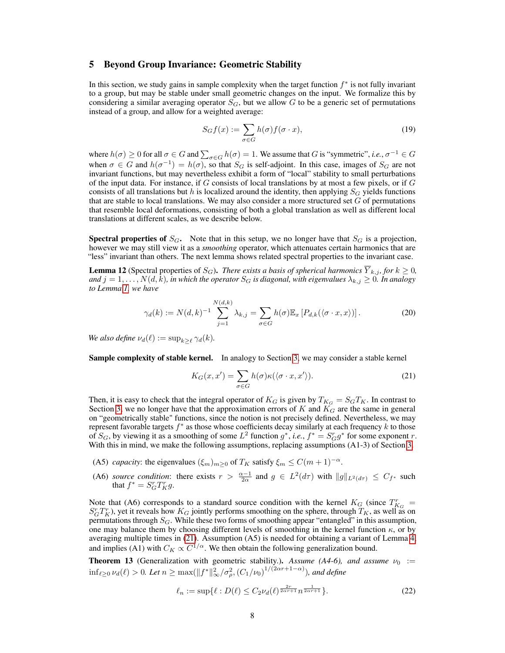### <span id="page-7-0"></span>5 Beyond Group Invariance: Geometric Stability

In this section, we study gains in sample complexity when the target function  $f^*$  is not fully invariant to a group, but may be stable under small geometric changes on the input. We formalize this by considering a similar averaging operator  $S_G$ , but we allow G to be a generic set of permutations instead of a group, and allow for a weighted average:

$$
S_G f(x) := \sum_{\sigma \in G} h(\sigma) f(\sigma \cdot x),\tag{19}
$$

where  $h(\sigma) \ge 0$  for all  $\sigma \in G$  and  $\sum_{\sigma \in G} h(\sigma) = 1$ . We assume that G is "symmetric", *i.e.*,  $\sigma^{-1} \in G$ when  $\sigma \in G$  and  $h(\sigma^{-1}) = h(\sigma)$ , so that  $S_G$  is self-adjoint. In this case, images of  $S_G$  are not invariant functions, but may nevertheless exhibit a form of "local" stability to small perturbations of the input data. For instance, if  $G$  consists of local translations by at most a few pixels, or if  $G$ consists of all translations but h is localized around the identity, then applying  $S_G$  yields functions that are stable to local translations. We may also consider a more structured set  $G$  of permutations that resemble local deformations, consisting of both a global translation as well as different local translations at different scales, as we describe below.

**Spectral properties of**  $S_G$ . Note that in this setup, we no longer have that  $S_G$  is a projection, however we may still view it as a *smoothing* operator, which attenuates certain harmonics that are "less" invariant than others. The next lemma shows related spectral properties to the invariant case.

<span id="page-7-3"></span>**Lemma 12** (Spectral properties of  $S_G$ ). There exists a basis of spherical harmonics  $\overline{Y}_{k,j}$ , for  $k \geq 0$ , *and*  $j = 1, \ldots, N(d, k)$ *, in which the operator*  $S_G$  *is diagonal, with eigenvalues*  $\lambda_{k,j} \geq 0$ *. In analogy to Lemma [1,](#page-2-3) we have*

<span id="page-7-2"></span>
$$
\gamma_d(k) := N(d,k)^{-1} \sum_{j=1}^{N(d,k)} \lambda_{k,j} = \sum_{\sigma \in G} h(\sigma) \mathbb{E}_x [P_{d,k}(\langle \sigma \cdot x, x \rangle)]. \tag{20}
$$

*We also define*  $\nu_d(\ell) := \sup_{k \geq \ell} \gamma_d(k)$ .

Sample complexity of stable kernel. In analogy to Section [3,](#page-2-0) we may consider a stable kernel

<span id="page-7-1"></span>
$$
K_G(x, x') = \sum_{\sigma \in G} h(\sigma) \kappa(\langle \sigma \cdot x, x' \rangle).
$$
 (21)

Then, it is easy to check that the integral operator of  $K_G$  is given by  $T_{K_G} = S_G T_K$ . In contrast to Section [3,](#page-2-0) we no longer have that the approximation errors of K and  $K_G$  are the same in general on "geometrically stable" functions, since the notion is not precisely defined. Nevertheless, we may represent favorable targets  $f^*$  as those whose coefficients decay similarly at each frequency  $k$  to those of  $S_G$ , by viewing it as a smoothing of some  $L^2$  function  $g^*$ , *i.e.*,  $f^* = S_G^r g^*$  for some exponent r. With this in mind, we make the following assumptions, replacing assumptions (A1-3) of Section [3.](#page-2-0)

- (A5) *capacity*: the eigenvalues  $(\xi_m)_{m\geq 0}$  of  $T_K$  satisfy  $\xi_m \leq C(m+1)^{-\alpha}$ .
- (A6) *source condition*: there exists  $r > \frac{\alpha 1}{2\alpha}$  and  $g \in L^2(d\tau)$  with  $||g||_{L^2(d\tau)} \leq C_{f^*}$  such that  $f^* = S_G^r T_K^r g$ .

Note that (A6) corresponds to a standard source condition with the kernel  $K_G$  (since  $T_{K_G}^r$  =  $S_G^rT_K^r$ , yet it reveals how  $K_G$  jointly performs smoothing on the sphere, through  $T_K$ , as well as on permutations through  $S_G$ . While these two forms of smoothing appear "entangled" in this assumption, one may balance them by choosing different levels of smoothing in the kernel function  $\kappa$ , or by averaging multiple times in [\(21\)](#page-7-1). Assumption (A5) is needed for obtaining a variant of Lemma [4,](#page-3-0) and implies (A1) with  $C_K \propto C^{1/\alpha}$ . We then obtain the following generalization bound.

<span id="page-7-4"></span>**Theorem 13** (Generalization with geometric stability.). *Assume (A4-6), and assume*  $\nu_0 :=$  $\inf_{\ell \geq 0} \nu_d(\ell) > 0$ *. Let*  $n \geq \max(\|f^*\|_\infty^2/\sigma_\rho^2, (C_1/\nu_0)^{1/(2\alpha r + 1 - \alpha)}),$  and define

$$
\ell_n := \sup \{ \ell : D(\ell) \le C_2 \nu_d(\ell)^{\frac{2r}{2\alpha r + 1}} n^{\frac{1}{2\alpha r + 1}} \}.
$$
 (22)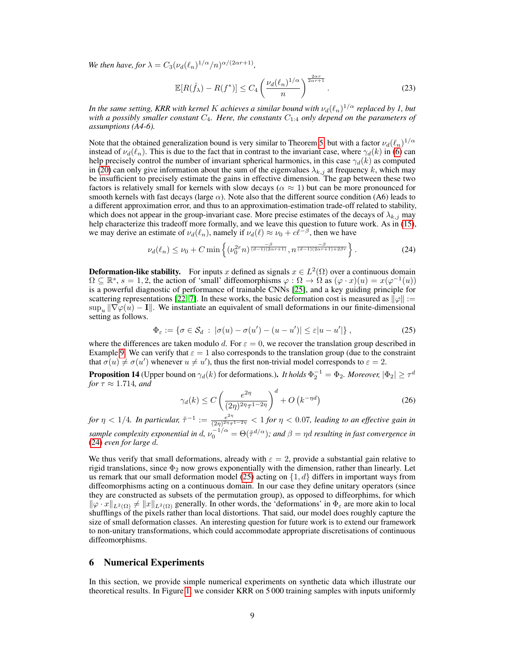*We then have, for*  $\lambda = C_3(\nu_d(\ell_n)^{1/\alpha}/n)^{\alpha/(2\alpha r + 1)}$ ,

$$
\mathbb{E}[R(\hat{f}_{\lambda}) - R(f^*)] \le C_4 \left(\frac{\nu_d(\ell_n)^{1/\alpha}}{n}\right)^{\frac{2\alpha r}{2\alpha r + 1}}.
$$
 (23)

In the same setting, KRR with kernel  $K$  achieves a similar bound with  $\nu_d(\ell_n)^{1/\alpha}$  replaced by 1, but with a possibly smaller constant  $C_4$ . Here, the constants  $C_{1:4}$  only depend on the parameters of *assumptions (A4-6).*

Note that the obtained generalization bound is very similar to Theorem [5,](#page-4-0) but with a factor  $\nu_d(\ell_n)^{1/\alpha}$ instead of  $\nu_d(\ell_n)$ . This is due to the fact that in contrast to the invariant case, where  $\gamma_d(k)$  in [\(6\)](#page-2-2) can help precisely control the number of invariant spherical harmonics, in this case  $\gamma_d(k)$  as computed in [\(20\)](#page-7-2) can only give information about the sum of the eigenvalues  $\lambda_{k,j}$  at frequency k, which may be insufficient to precisely estimate the gains in effective dimension. The gap between these two factors is relatively small for kernels with slow decays ( $\alpha \approx 1$ ) but can be more pronounced for smooth kernels with fast decays (large  $\alpha$ ). Note also that the different source condition (A6) leads to a different approximation error, and thus to an approximation-estimation trade-off related to stability, which does not appear in the group-invariant case. More precise estimates of the decays of  $\lambda_{k,j}$  may help characterize this tradeoff more formally, and we leave this question to future work. As in [\(15\)](#page-4-1), we may derive an estimate of  $\nu_d(\ell_n)$ , namely if  $\nu_d(\ell) \approx \nu_0 + c\ell^{-\beta}$ , then we have

<span id="page-8-0"></span>
$$
\nu_d(\ell_n) \le \nu_0 + C \min\left\{ (\nu_0^{2r} n)^{\frac{-\beta}{(d-1)(2\alpha r+1)}}, n^{\frac{-\beta}{(d-1)(2\alpha r+1)+2\beta r}} \right\}.
$$
 (24)

**Deformation-like stability.** For inputs x defined as signals  $x \in L^2(\Omega)$  over a continuous domain  $\Omega \subseteq \mathbb{R}^s$ ,  $s = 1, 2$ , the action of 'small' diffeomorphisms  $\varphi : \Omega \to \Omega$  as  $(\varphi \cdot x)(u) = x(\varphi^{-1}(u))$ is a powerful diagnostic of performance of trainable CNNs [\[25\]](#page-11-9), and a key guiding principle for scattering representations [\[22,](#page-11-2) [7\]](#page-10-1). In these works, the basic deformation cost is measured as  $\|\varphi\| :=$  $\sup_u \|\nabla \varphi(u) - \mathbf{I}\|$ . We instantiate an equivalent of small deformations in our finite-dimensional setting as follows.

<span id="page-8-1"></span>
$$
\Phi_{\varepsilon} := \{ \sigma \in \mathcal{S}_d \; : \; |\sigma(u) - \sigma(u') - (u - u')| \le \varepsilon |u - u'| \} \;, \tag{25}
$$

where the differences are taken modulo d. For  $\varepsilon = 0$ , we recover the translation group described in Example [9.](#page-6-2) We can verify that  $\varepsilon = 1$  also corresponds to the translation group (due to the constraint that  $\sigma(u) \neq \sigma(u')$  whenever  $u \neq u'$ ), thus the first non-trivial model corresponds to  $\varepsilon = 2$ .

<span id="page-8-2"></span>**Proposition 14** (Upper bound on  $\gamma_d(k)$  for deformations.). *It holds*  $\Phi_2^{-1}=\Phi_2$ . Moreover,  $|\Phi_2|\geq \tau^d$ *for*  $\tau \approx 1.714$ *, and* 

$$
\gamma_d(k) \le C \left(\frac{e^{2\eta}}{(2\eta)^{2\eta}\tau^{1-2\eta}}\right)^d + O\left(k^{-\eta d}\right) \tag{26}
$$

*for*  $\eta < 1/4$ *. In particular,*  $\tilde{\tau}^{-1} := \frac{e^{2\eta}}{(2n)^{2\eta}\tau}$  $\frac{e^{2\eta}}{(2\eta)^{2\eta}\tau^{1-2\eta}} < 1$  for  $\eta < 0.07$ , leading to an effective gain in sample complexity exponential in d,  $\nu_0^{-1/\alpha} = \Theta(\tilde{\tau}^{d/\alpha})$ ; and  $\beta = \eta d$  resulting in fast convergence in [\(24\)](#page-8-0) *even for large* d*.*

We thus verify that small deformations, already with  $\varepsilon = 2$ , provide a substantial gain relative to rigid translations, since  $\Phi_2$  now grows exponentially with the dimension, rather than linearly. Let us remark that our small deformation model [\(25\)](#page-8-1) acting on  $\{1, d\}$  differs in important ways from diffeomorphisms acting on a continuous domain. In our case they define unitary operators (since they are constructed as subsets of the permutation group), as opposed to diffeorphims, for which  $\|\varphi \cdot x\|_{L^2(\Omega)} \neq \|x\|_{L^2(\Omega)}$  generally. In other words, the 'deformations' in  $\Phi_{\varepsilon}$  are more akin to local shufflings of the pixels rather than local distortions. That said, our model does roughly capture the size of small deformation classes. An interesting question for future work is to extend our framework to non-unitary transformations, which could accommodate appropriate discretisations of continuous diffeomorphisms.

# 6 Numerical Experiments

In this section, we provide simple numerical experiments on synthetic data which illustrate our theoretical results. In Figure [1,](#page-9-0) we consider KRR on 5 000 training samples with inputs uniformly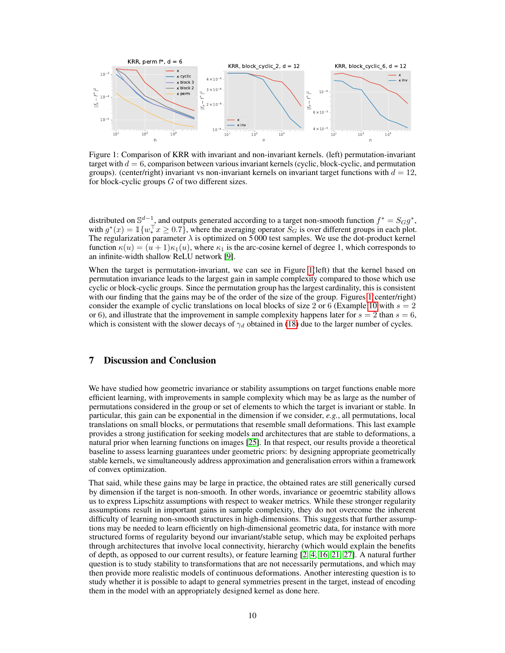

<span id="page-9-0"></span>Figure 1: Comparison of KRR with invariant and non-invariant kernels. (left) permutation-invariant target with  $d = 6$ , comparison between various invariant kernels (cyclic, block-cyclic, and permutation groups). (center/right) invariant vs non-invariant kernels on invariant target functions with  $d = 12$ , for block-cyclic groups  $G$  of two different sizes.

distributed on  $\mathbb{S}^{d-1}$ , and outputs generated according to a target non-smooth function  $f^* = S_G g^*$ , with  $g^*(x) = \mathbb{1}\{w_*^\top x \geq 0.7\}$ , where the averaging operator  $S_G$  is over different groups in each plot. The regularization parameter  $\lambda$  is optimized on 5 000 test samples. We use the dot-product kernel function  $\kappa(u) = (u+1)\kappa_1(u)$ , where  $\kappa_1$  is the arc-cosine kernel of degree 1, which corresponds to an infinite-width shallow ReLU network [\[9\]](#page-10-11).

When the target is permutation-invariant, we can see in Figure [1\(](#page-9-0)left) that the kernel based on permutation invariance leads to the largest gain in sample complexity compared to those which use cyclic or block-cyclic groups. Since the permutation group has the largest cardinality, this is consistent with our finding that the gains may be of the order of the size of the group. Figures [1\(](#page-9-0)center/right) consider the example of cyclic translations on local blocks of size 2 or 6 (Example [10](#page-6-3) with  $s = 2$ ) or 6), and illustrate that the improvement in sample complexity happens later for  $s = 2$  than  $s = 6$ , which is consistent with the slower decays of  $\gamma_d$  obtained in [\(18\)](#page-6-4) due to the larger number of cycles.

# 7 Discussion and Conclusion

We have studied how geometric invariance or stability assumptions on target functions enable more efficient learning, with improvements in sample complexity which may be as large as the number of permutations considered in the group or set of elements to which the target is invariant or stable. In particular, this gain can be exponential in the dimension if we consider, *e.g.*, all permutations, local translations on small blocks, or permutations that resemble small deformations. This last example provides a strong justification for seeking models and architectures that are stable to deformations, a natural prior when learning functions on images [\[25\]](#page-11-9). In that respect, our results provide a theoretical baseline to assess learning guarantees under geometric priors: by designing appropriate geometrically stable kernels, we simultaneously address approximation and generalisation errors within a framework of convex optimization.

That said, while these gains may be large in practice, the obtained rates are still generically cursed by dimension if the target is non-smooth. In other words, invariance or geoemtric stability allows us to express Lipschitz assumptions with respect to weaker metrics. While these stronger regularity assumptions result in important gains in sample complexity, they do not overcome the inherent difficulty of learning non-smooth structures in high-dimensions. This suggests that further assumptions may be needed to learn efficiently on high-dimensional geometric data, for instance with more structured forms of regularity beyond our invariant/stable setup, which may be exploited perhaps through architectures that involve local connectivity, hierarchy (which would explain the benefits of depth, as opposed to our current results), or feature learning [\[2,](#page-10-12) [4,](#page-10-17) [16,](#page-10-18) [21,](#page-11-5) [27\]](#page-11-4). A natural further question is to study stability to transformations that are not necessarily permutations, and which may then provide more realistic models of continuous deformations. Another interesting question is to study whether it is possible to adapt to general symmetries present in the target, instead of encoding them in the model with an appropriately designed kernel as done here.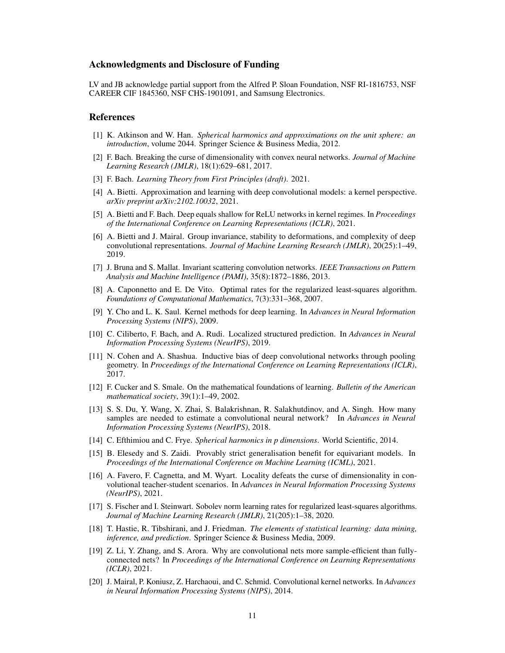### Acknowledgments and Disclosure of Funding

LV and JB acknowledge partial support from the Alfred P. Sloan Foundation, NSF RI-1816753, NSF CAREER CIF 1845360, NSF CHS-1901091, and Samsung Electronics.

### References

- <span id="page-10-9"></span>[1] K. Atkinson and W. Han. *Spherical harmonics and approximations on the unit sphere: an introduction*, volume 2044. Springer Science & Business Media, 2012.
- <span id="page-10-12"></span>[2] F. Bach. Breaking the curse of dimensionality with convex neural networks. *Journal of Machine Learning Research (JMLR)*, 18(1):629–681, 2017.
- <span id="page-10-13"></span>[3] F. Bach. *Learning Theory from First Principles (draft)*. 2021.
- <span id="page-10-17"></span>[4] A. Bietti. Approximation and learning with deep convolutional models: a kernel perspective. *arXiv preprint arXiv:2102.10032*, 2021.
- <span id="page-10-19"></span>[5] A. Bietti and F. Bach. Deep equals shallow for ReLU networks in kernel regimes. In *Proceedings of the International Conference on Learning Representations (ICLR)*, 2021.
- <span id="page-10-2"></span>[6] A. Bietti and J. Mairal. Group invariance, stability to deformations, and complexity of deep convolutional representations. *Journal of Machine Learning Research (JMLR)*, 20(25):1–49, 2019.
- <span id="page-10-1"></span>[7] J. Bruna and S. Mallat. Invariant scattering convolution networks. *IEEE Transactions on Pattern Analysis and Machine Intelligence (PAMI)*, 35(8):1872–1886, 2013.
- <span id="page-10-10"></span>[8] A. Caponnetto and E. De Vito. Optimal rates for the regularized least-squares algorithm. *Foundations of Computational Mathematics*, 7(3):331–368, 2007.
- <span id="page-10-11"></span>[9] Y. Cho and L. K. Saul. Kernel methods for deep learning. In *Advances in Neural Information Processing Systems (NIPS)*, 2009.
- <span id="page-10-7"></span>[10] C. Ciliberto, F. Bach, and A. Rudi. Localized structured prediction. In *Advances in Neural Information Processing Systems (NeurIPS)*, 2019.
- <span id="page-10-4"></span>[11] N. Cohen and A. Shashua. Inductive bias of deep convolutional networks through pooling geometry. In *Proceedings of the International Conference on Learning Representations (ICLR)*, 2017.
- <span id="page-10-14"></span>[12] F. Cucker and S. Smale. On the mathematical foundations of learning. *Bulletin of the American mathematical society*, 39(1):1–49, 2002.
- <span id="page-10-8"></span>[13] S. S. Du, Y. Wang, X. Zhai, S. Balakrishnan, R. Salakhutdinov, and A. Singh. How many samples are needed to estimate a convolutional neural network? In *Advances in Neural Information Processing Systems (NeurIPS)*, 2018.
- <span id="page-10-0"></span>[14] C. Efthimiou and C. Frye. *Spherical harmonics in p dimensions*. World Scientific, 2014.
- <span id="page-10-6"></span>[15] B. Elesedy and S. Zaidi. Provably strict generalisation benefit for equivariant models. In *Proceedings of the International Conference on Machine Learning (ICML)*, 2021.
- <span id="page-10-18"></span>[16] A. Favero, F. Cagnetta, and M. Wyart. Locality defeats the curse of dimensionality in convolutional teacher-student scenarios. In *Advances in Neural Information Processing Systems (NeurIPS)*, 2021.
- <span id="page-10-16"></span>[17] S. Fischer and I. Steinwart. Sobolev norm learning rates for regularized least-squares algorithms. *Journal of Machine Learning Research (JMLR)*, 21(205):1–38, 2020.
- <span id="page-10-15"></span>[18] T. Hastie, R. Tibshirani, and J. Friedman. *The elements of statistical learning: data mining, inference, and prediction*. Springer Science & Business Media, 2009.
- <span id="page-10-5"></span>[19] Z. Li, Y. Zhang, and S. Arora. Why are convolutional nets more sample-efficient than fullyconnected nets? In *Proceedings of the International Conference on Learning Representations (ICLR)*, 2021.
- <span id="page-10-3"></span>[20] J. Mairal, P. Koniusz, Z. Harchaoui, and C. Schmid. Convolutional kernel networks. In *Advances in Neural Information Processing Systems (NIPS)*, 2014.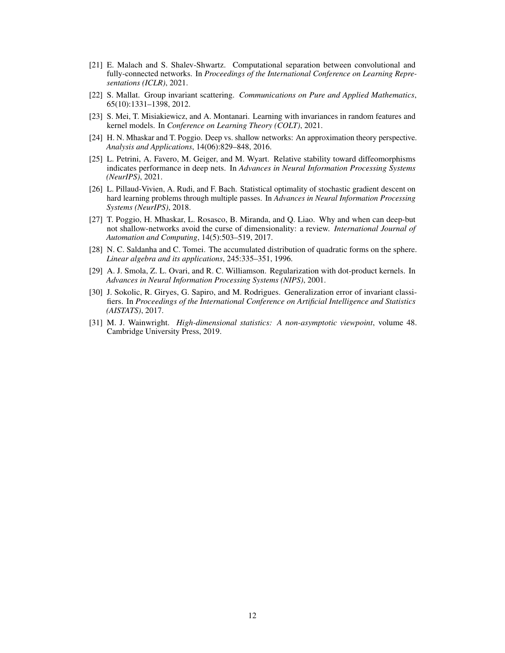- <span id="page-11-5"></span>[21] E. Malach and S. Shalev-Shwartz. Computational separation between convolutional and fully-connected networks. In *Proceedings of the International Conference on Learning Representations (ICLR)*, 2021.
- <span id="page-11-2"></span>[22] S. Mallat. Group invariant scattering. *Communications on Pure and Applied Mathematics*, 65(10):1331–1398, 2012.
- <span id="page-11-1"></span>[23] S. Mei, T. Misiakiewicz, and A. Montanari. Learning with invariances in random features and kernel models. In *Conference on Learning Theory (COLT)*, 2021.
- <span id="page-11-3"></span>[24] H. N. Mhaskar and T. Poggio. Deep vs. shallow networks: An approximation theory perspective. *Analysis and Applications*, 14(06):829–848, 2016.
- <span id="page-11-9"></span>[25] L. Petrini, A. Favero, M. Geiger, and M. Wyart. Relative stability toward diffeomorphisms indicates performance in deep nets. In *Advances in Neural Information Processing Systems (NeurIPS)*, 2021.
- <span id="page-11-7"></span>[26] L. Pillaud-Vivien, A. Rudi, and F. Bach. Statistical optimality of stochastic gradient descent on hard learning problems through multiple passes. In *Advances in Neural Information Processing Systems (NeurIPS)*, 2018.
- <span id="page-11-4"></span>[27] T. Poggio, H. Mhaskar, L. Rosasco, B. Miranda, and Q. Liao. Why and when can deep-but not shallow-networks avoid the curse of dimensionality: a review. *International Journal of Automation and Computing*, 14(5):503–519, 2017.
- <span id="page-11-8"></span>[28] N. C. Saldanha and C. Tomei. The accumulated distribution of quadratic forms on the sphere. *Linear algebra and its applications*, 245:335–351, 1996.
- <span id="page-11-10"></span>[29] A. J. Smola, Z. L. Ovari, and R. C. Williamson. Regularization with dot-product kernels. In *Advances in Neural Information Processing Systems (NIPS)*, 2001.
- <span id="page-11-6"></span>[30] J. Sokolic, R. Giryes, G. Sapiro, and M. Rodrigues. Generalization error of invariant classifiers. In *Proceedings of the International Conference on Artificial Intelligence and Statistics (AISTATS)*, 2017.
- <span id="page-11-0"></span>[31] M. J. Wainwright. *High-dimensional statistics: A non-asymptotic viewpoint*, volume 48. Cambridge University Press, 2019.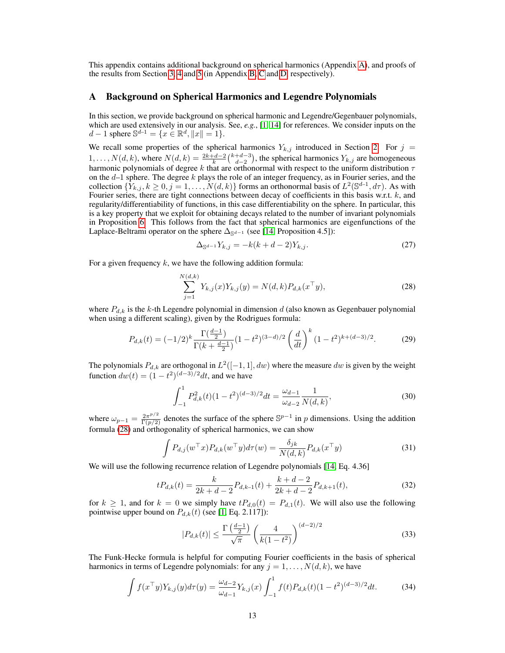This appendix contains additional background on spherical harmonics (Appendix [A\)](#page-12-0), and proofs of the results from Section [3,](#page-2-0) [4](#page-5-0) and [5](#page-7-0) (in Appendix [B,](#page-13-0) [C](#page-17-0) and [D,](#page-22-0) respectively).

### <span id="page-12-0"></span>A Background on Spherical Harmonics and Legendre Polynomials

In this section, we provide background on spherical harmonic and Legendre/Gegenbauer polynomials, which are used extensively in our analysis. See, *e.g.*, [\[1,](#page-10-9) [14\]](#page-10-0) for references. We consider inputs on the  $d-1$  sphere  $\mathbb{S}^{d-1} = \{x \in \mathbb{R}^d, ||x|| = 1\}.$ 

We recall some properties of the spherical harmonics  $Y_{k,j}$  introduced in Section [2.](#page-1-1) For  $j =$  $1, \ldots, N(d, k)$ , where  $N(d, k) = \frac{2k+d-2}{k} {k+d-3 \choose d-2}$ , the spherical harmonics  $Y_{k,j}$  are homogeneous harmonic polynomials of degree k that are orthonormal with respect to the uniform distribution  $\tau$ on the  $d-1$  sphere. The degree k plays the role of an integer frequency, as in Fourier series, and the collection  $\{Y_{k,j}, k \geq 0, j = 1, \ldots, N(d, k)\}\)$  forms an orthonormal basis of  $L^2(\mathbb{S}^{d-1}, d\tau)$ . As with Fourier series, there are tight connections between decay of coefficients in this basis w.r.t. k, and regularity/differentiability of functions, in this case differentiability on the sphere. In particular, this is a key property that we exploit for obtaining decays related to the number of invariant polynomials in Proposition [6.](#page-5-2) This follows from the fact that spherical harmonics are eigenfunctions of the Laplace-Beltrami operator on the sphere  $\Delta_{\mathbb{S}^{d-1}}$  (see [\[14,](#page-10-0) Proposition 4.5]):

<span id="page-12-1"></span>
$$
\Delta_{\mathbb{S}^{d-1}} Y_{k,j} = -k(k+d-2)Y_{k,j}.\tag{27}
$$

For a given frequency  $k$ , we have the following addition formula:

$$
\sum_{j=1}^{N(d,k)} Y_{k,j}(x) Y_{k,j}(y) = N(d,k) P_{d,k}(x^{\top}y),
$$
\n(28)

where  $P_{d,k}$  is the k-th Legendre polynomial in dimension d (also known as Gegenbauer polynomial when using a different scaling), given by the Rodrigues formula:

$$
P_{d,k}(t) = (-1/2)^k \frac{\Gamma(\frac{d-1}{2})}{\Gamma(k + \frac{d-1}{2})} (1 - t^2)^{(3-d)/2} \left(\frac{d}{dt}\right)^k (1 - t^2)^{k + (d-3)/2}.
$$
 (29)

The polynomials  $P_{d,k}$  are orthogonal in  $L^2([-1,1], dw)$  where the measure  $dw$  is given by the weight function  $dw(t) = (1 - t^2)^{(d-3)/2} dt$ , and we have

$$
\int_{-1}^{1} P_{d,k}^{2}(t)(1-t^{2})^{(d-3)/2}dt = \frac{\omega_{d-1}}{\omega_{d-2}} \frac{1}{N(d,k)},
$$
\n(30)

where  $\omega_{p-1} = \frac{2\pi^{p/2}}{\Gamma(p/2)}$  denotes the surface of the sphere  $\mathbb{S}^{p-1}$  in p dimensions. Using the addition formula [\(28\)](#page-12-1) and orthogonality of spherical harmonics, we can show

$$
\int P_{d,j}(w^{\top}x)P_{d,k}(w^{\top}y)d\tau(w) = \frac{\delta_{jk}}{N(d,k)}P_{d,k}(x^{\top}y)
$$
\n(31)

We will use the following recurrence relation of Legendre polynomials [\[14,](#page-10-0) Eq. 4.36]

$$
tP_{d,k}(t) = \frac{k}{2k+d-2}P_{d,k-1}(t) + \frac{k+d-2}{2k+d-2}P_{d,k+1}(t),
$$
\n(32)

for  $k \ge 1$ , and for  $k = 0$  we simply have  $tP_{d,0}(t) = P_{d,1}(t)$ . We will also use the following pointwise upper bound on  $P_{d,k}(t)$  (see [\[1,](#page-10-9) Eq. 2.117]):

<span id="page-12-2"></span>
$$
|P_{d,k}(t)| \le \frac{\Gamma\left(\frac{d-1}{2}\right)}{\sqrt{\pi}} \left(\frac{4}{k(1-t^2)}\right)^{(d-2)/2} \tag{33}
$$

The Funk-Hecke formula is helpful for computing Fourier coefficients in the basis of spherical harmonics in terms of Legendre polynomials: for any  $j = 1, \ldots, N(d, k)$ , we have

$$
\int f(x^{\top}y)Y_{k,j}(y)d\tau(y) = \frac{\omega_{d-2}}{\omega_{d-1}}Y_{k,j}(x)\int_{-1}^{1}f(t)P_{d,k}(t)(1-t^2)^{(d-3)/2}dt.
$$
 (34)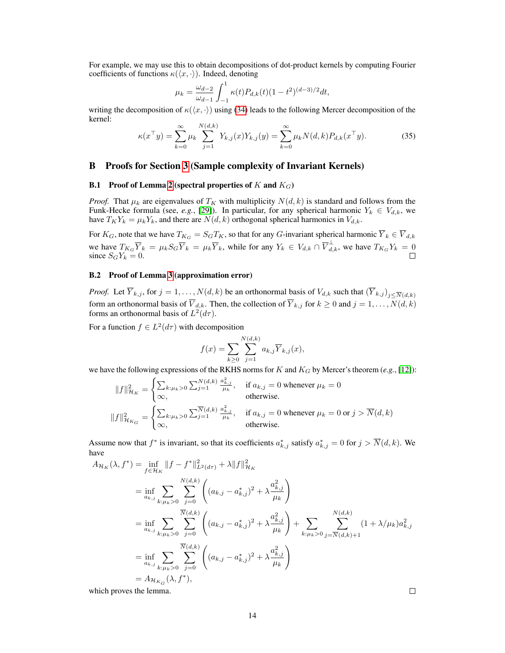For example, we may use this to obtain decompositions of dot-product kernels by computing Fourier coefficients of functions  $\kappa(\langle x, \cdot \rangle)$ . Indeed, denoting

$$
\mu_k = \frac{\omega_{d-2}}{\omega_{d-1}} \int_{-1}^1 \kappa(t) P_{d,k}(t) (1 - t^2)^{(d-3)/2} dt,
$$

writing the decomposition of  $\kappa(\langle x, \cdot \rangle)$  using [\(34\)](#page-12-2) leads to the following Mercer decomposition of the kernel:

$$
\kappa(x^{\top}y) = \sum_{k=0}^{\infty} \mu_k \sum_{j=1}^{N(d,k)} Y_{k,j}(x) Y_{k,j}(y) = \sum_{k=0}^{\infty} \mu_k N(d,k) P_{d,k}(x^{\top}y).
$$
 (35)

### <span id="page-13-0"></span>B Proofs for Section [3](#page-2-0) (Sample complexity of Invariant Kernels)

### **B.1** Proof of Lemma [2](#page-3-1) (spectral properties of  $K$  and  $K_G$ )

*Proof.* That  $\mu_k$  are eigenvalues of  $T_K$  with multiplicity  $N(d, k)$  is standard and follows from the Funk-Hecke formula (see, *e.g.*, [\[29\]](#page-11-10)). In particular, for any spherical harmonic  $Y_k \in V_{d,k}$ , we have  $T_K Y_k = \mu_k Y_k$ , and there are  $N(d, k)$  orthogonal spherical harmonics in  $V_{d, k}$ .

For  $K_G$ , note that we have  $T_{K_G} = S_G T_K$ , so that for any G-invariant spherical harmonic  $\overline{Y}_k \in \overline{V}_{d,k}$ we have  $T_{K_G}\overline{Y}_k = \mu_k S_G \overline{Y}_k = \mu_k \overline{Y}_k$ , while for any  $Y_k \in V_{d,k} \cap \overline{V}_{d,k}^{\perp}$ , we have  $T_{K_G}Y_k = 0$ since  $S_GY_k = 0$ .

### B.2 Proof of Lemma [3](#page-3-2) (approximation error)

*Proof.* Let  $\overline{Y}_{k,j}$ , for  $j = 1, ..., N(d, k)$  be an orthonormal basis of  $V_{d,k}$  such that  $(\overline{Y}_{k,j})_{j \leq \overline{N}(d,k)}$ form an orthonormal basis of  $\overline{V}_{d,k}$ . Then, the collection of  $\overline{Y}_{k,j}$  for  $k \ge 0$  and  $j = 1, \ldots, N(d, k)$ forms an orthonormal basis of  $L^2(d\tau)$ .

For a function  $f \in L^2(d\tau)$  with decomposition

$$
f(x) = \sum_{k \ge 0} \sum_{j=1}^{N(d,k)} a_{k,j} \overline{Y}_{k,j}(x),
$$

we have the following expressions of the RKHS norms for K and  $K_G$  by Mercer's theorem (e.g., [\[12\]](#page-10-14)):

$$
||f||_{\mathcal{H}_K}^2 = \begin{cases} \sum_{k:\mu_k>0} \sum_{j=1}^{N(d,k)} \frac{a_{k,j}^2}{\mu_k}, & \text{if } a_{k,j} = 0 \text{ whenever } \mu_k = 0\\ \infty, & \text{otherwise.} \end{cases}
$$
  

$$
||f||_{\mathcal{H}_{K_G}}^2 = \begin{cases} \sum_{k:\mu_k>0} \sum_{j=1}^{\overline{N}(d,k)} \frac{a_{k,j}^2}{\mu_k}, & \text{if } a_{k,j} = 0 \text{ whenever } \mu_k = 0 \text{ or } j > \overline{N}(d,k)\\ \infty, & \text{otherwise.} \end{cases}
$$

Assume now that  $f^*$  is invariant, so that its coefficients  $a^*_{k,j}$  satisfy  $a^*_{k,j} = 0$  for  $j > \overline{N}(d, k)$ . We have

$$
A_{\mathcal{H}_K}(\lambda, f^*) = \inf_{f \in \mathcal{H}_K} ||f - f^*||_{L^2(d\tau)}^2 + \lambda ||f||_{\mathcal{H}_K}^2
$$
  
\n
$$
= \inf_{a_{k,j}} \sum_{k:\mu_k > 0} \sum_{j=0}^{N(d,k)} \left( (a_{k,j} - a_{k,j}^*)^2 + \lambda \frac{a_{k,j}^2}{\mu_k} \right)
$$
  
\n
$$
= \inf_{a_{k,j}} \sum_{k:\mu_k > 0} \sum_{j=0}^{\overline{N}(d,k)} \left( (a_{k,j} - a_{k,j}^*)^2 + \lambda \frac{a_{k,j}^2}{\mu_k} \right) + \sum_{k:\mu_k > 0} \sum_{j=\overline{N}(d,k)+1}^{N(d,k)} (1 + \lambda/\mu_k) a_{k,j}^2
$$
  
\n
$$
= \inf_{a_{k,j}} \sum_{k:\mu_k > 0} \sum_{j=0}^{\overline{N}(d,k)} \left( (a_{k,j} - a_{k,j}^*)^2 + \lambda \frac{a_{k,j}^2}{\mu_k} \right)
$$
  
\n
$$
= A_{\mathcal{H}_{K_G}}(\lambda, f^*),
$$

which proves the lemma.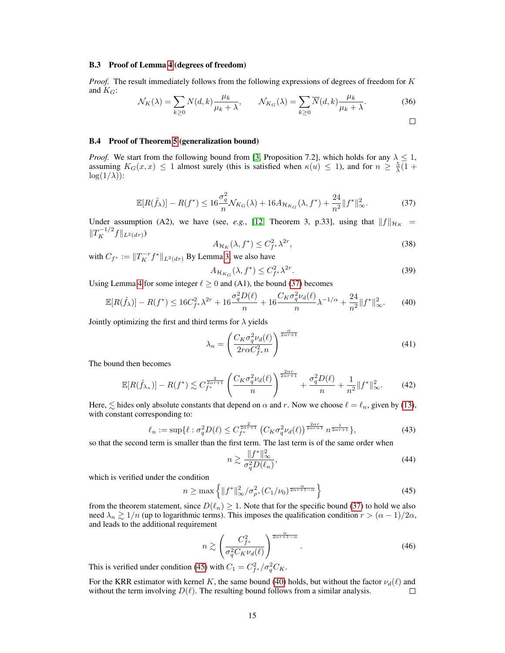#### B.3 Proof of Lemma [4](#page-3-0) (degrees of freedom)

*Proof.* The result immediately follows from the following expressions of degrees of freedom for K and  $K_G$ :

$$
\mathcal{N}_K(\lambda) = \sum_{k \ge 0} N(d, k) \frac{\mu_k}{\mu_k + \lambda}, \qquad \mathcal{N}_{K_G}(\lambda) = \sum_{k \ge 0} \overline{N}(d, k) \frac{\mu_k}{\mu_k + \lambda}.
$$
 (36)

### B.4 Proof of Theorem [5](#page-4-0) (generalization bound)

<span id="page-14-0"></span>*Proof.* We start from the following bound from [\[3,](#page-10-13) Proposition 7.2], which holds for any  $\lambda \leq 1$ , assuming  $K_G(x,x) \leq 1$  almost surely (this is satisfied when  $\kappa(u) \leq 1$ ), and for  $n \geq \frac{5}{\lambda}(1 +$  $\log(1/\lambda)$ :

$$
\mathbb{E}[R(\hat{f}_{\lambda})] - R(f^*) \le 16 \frac{\sigma_q^2}{n} \mathcal{N}_{K_G}(\lambda) + 16A_{\mathcal{H}_{K_G}}(\lambda, f^*) + \frac{24}{n^2} \|f^*\|_{\infty}^2.
$$
 (37)

Under assumption (A2), we have (see, *e.g.*, [\[12,](#page-10-14) Theorem 3, p.33], using that  $||f||_{\mathcal{H}_K}$  =  $||T_K^{-1/2}f||_{L^2(d\tau)})$ 

$$
A_{\mathcal{H}_K}(\lambda, f^*) \le C_{f^*}^2 \lambda^{2r},\tag{38}
$$

with  $C_{f^*} := ||T_K^{-r} f^*||_{L^2(d\tau)}$  By Lemma [3,](#page-3-2) we also have

<span id="page-14-2"></span>
$$
A_{\mathcal{H}_{K_G}}(\lambda, f^*) \le C_{f^*}^2 \lambda^{2r}.
$$
\n(39)

Using Lemma [4](#page-3-0) for some integer  $\ell \ge 0$  and (A1), the bound [\(37\)](#page-14-0) becomes

$$
\mathbb{E}[R(\hat{f}_{\lambda})] - R(f^*) \le 16C_{f^*}^2 \lambda^{2r} + 16\frac{\sigma_q^2 D(\ell)}{n} + 16\frac{C_K \sigma_q^2 \nu_d(\ell)}{n} \lambda^{-1/\alpha} + \frac{24}{n^2} \|f^*\|_{\infty}^2. \tag{40}
$$

Jointly optimizing the first and third terms for  $\lambda$  yields

$$
\lambda_n = \left(\frac{C_K \sigma_q^2 \nu_d(\ell)}{2r\alpha C_{f^*}^2 n}\right)^{\frac{\alpha}{2\alpha r + 1}}
$$
\n(41)

The bound then becomes

$$
\mathbb{E}[R(\hat{f}_{\lambda_n})] - R(f^*) \lesssim C_{f^*}^{\frac{2}{2\alpha r + 1}} \left(\frac{C_K \sigma_q^2 \nu_d(\ell)}{n}\right)^{\frac{2\alpha r}{2\alpha r + 1}} + \frac{\sigma_q^2 D(\ell)}{n} + \frac{1}{n^2} \|f^*\|_{\infty}^2. \tag{42}
$$

Here,  $\leq$  hides only absolute constants that depend on  $\alpha$  and r. Now we choose  $\ell = \ell_n$ , given by [\(13\)](#page-4-2), with constant corresponding to:

$$
\ell_n := \sup \{ \ell : \sigma_q^2 D(\ell) \le C_{f^*}^{\frac{2}{2\alpha r + 1}} \left( C_K \sigma_q^2 \nu_d(\ell) \right)^{\frac{2\alpha r}{2\alpha r + 1}} n^{\frac{1}{2\alpha r + 1}} \},\tag{43}
$$

so that the second term is smaller than the first term. The last term is of the same order when

<span id="page-14-1"></span>
$$
n \gtrsim \frac{\|f^*\|_{\infty}^2}{\sigma_q^2 D(\ell_n)},\tag{44}
$$

which is verified under the condition

$$
n \ge \max\left\{ \|f^*\|_{\infty}^2 / \sigma_\rho^2, (C_1/\nu_0)^{\frac{\alpha}{2\alpha r + 1 - \alpha}} \right\} \tag{45}
$$

from the theorem statement, since  $D(\ell_n) \geq 1$ . Note that for the specific bound [\(37\)](#page-14-0) to hold we also need  $\lambda_n \gtrsim 1/n$  (up to logarithmic terms). This imposes the qualification condition  $r > (\alpha - 1)/2\alpha$ , and leads to the additional requirement

$$
n \gtrsim \left(\frac{C_{f^*}^2}{\sigma_q^2 C_K \nu_d(\ell)}\right)^{\frac{\alpha}{2\alpha r + 1 - \alpha}}.\tag{46}
$$

This is verified under condition [\(45\)](#page-14-1) with  $C_1 = C_f^2 / \sigma_q^2 C_K$ .

For the KRR estimator with kernel K, the same bound [\(40\)](#page-14-2) holds, but without the factor  $\nu_d(\ell)$  and without the term involving  $D(\ell)$ . The resulting bound follows from a similar analysis.  $\Box$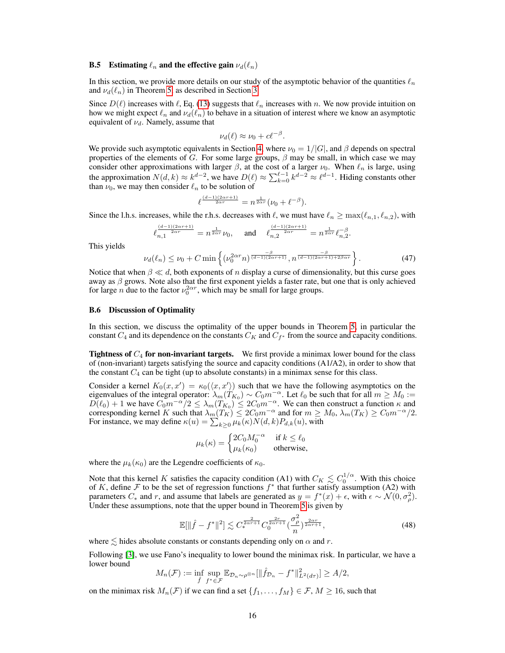#### <span id="page-15-0"></span>**B.5** Estimating  $\ell_n$  and the effective gain  $\nu_d(\ell_n)$

In this section, we provide more details on our study of the asymptotic behavior of the quantities  $\ell_n$ and  $\nu_d(\ell_n)$  in Theorem [5,](#page-4-0) as described in Section [3.](#page-2-0)

Since  $D(\ell)$  increases with  $\ell$ , Eq. [\(13\)](#page-4-2) suggests that  $\ell_n$  increases with n. We now provide intuition on how we might expect  $\ell_n$  and  $\nu_d(\ell_n)$  to behave in a situation of interest where we know an asymptotic equivalent of  $\nu_d$ . Namely, assume that

$$
\nu_d(\ell) \approx \nu_0 + c\ell^{-\beta}.
$$

We provide such asymptotic equivalents in Section [4,](#page-5-0) where  $\nu_0 = 1/|G|$ , and  $\beta$  depends on spectral properties of the elements of G. For some large groups,  $\beta$  may be small, in which case we may consider other approximations with larger  $\beta$ , at the cost of a larger  $\nu_0$ . When  $\ell_n$  is large, using the approximation  $N(d,k) \approx k^{d-2}$ , we have  $D(\ell) \approx \sum_{k=0}^{\ell-1} k^{d-2} \approx \ell^{d-1}$ . Hiding constants other than  $\nu_0$ , we may then consider  $\ell_n$  to be solution of

$$
\ell^{\frac{(d-1)(2\alpha r+1)}{2\alpha r}}=n^{\frac{1}{2\alpha r}}(\nu_0+\ell^{-\beta}).
$$

Since the l.h.s. increases, while the r.h.s. decreases with  $\ell$ , we must have  $\ell_n \ge \max(\ell_{n,1}, \ell_{n,2})$ , with

$$
\ell_{n,1}^{\frac{(d-1)(2\alpha r+1)}{2\alpha r}} = n^{\frac{1}{2\alpha r}}\nu_0, \quad \text{and} \quad \ell_{n,2}^{\frac{(d-1)(2\alpha r+1)}{2\alpha r}} = n^{\frac{1}{2\alpha r}}\ell_{n,2}^{-\beta}.
$$

This yields

$$
\nu_d(\ell_n) \le \nu_0 + C \min\left\{ (\nu_0^{2\alpha r} n)^{\frac{-\beta}{(d-1)(2\alpha r + 1)}}, n^{\frac{-\beta}{(d-1)(2\alpha r + 1) + 2\beta \alpha r}} \right\}.
$$
 (47)

Notice that when  $\beta \ll d$ , both exponents of n display a curse of dimensionality, but this curse goes away as  $\beta$  grows. Note also that the first exponent yields a faster rate, but one that is only achieved for large *n* due to the factor  $\nu_0^{2\alpha r}$ , which may be small for large groups.

#### <span id="page-15-1"></span>B.6 Discussion of Optimality

In this section, we discuss the optimality of the upper bounds in Theorem [5,](#page-4-0) in particular the constant  $C_4$  and its dependence on the constants  $C_K$  and  $C_{f^*}$  from the source and capacity conditions.

**Tightness of**  $C_4$  **for non-invariant targets.** We first provide a minimax lower bound for the class of (non-invariant) targets satisfying the source and capacity conditions (A1/A2), in order to show that the constant  $C_4$  can be tight (up to absolute constants) in a minimax sense for this class.

Consider a kernel  $K_0(x, x') = \kappa_0(\langle x, x' \rangle)$  such that we have the following asymptotics on the eigenvalues of the integral operator:  $\lambda_m(T_{K_0}) \sim C_0 m^{-\alpha}$ . Let  $\ell_0$  be such that for all  $m \ge M_0 :=$  $D(\ell_0) + 1$  we have  $C_0 m^{-\alpha}/2 \le \lambda_m(T_{K_0}) \le 2C_0 m^{-\alpha}$ . We can then construct a function  $\kappa$  and corresponding kernel K such that  $\lambda_m(T_K) \leq 2C_0 m^{-\alpha}$  and for  $m \geq M_0$ ,  $\lambda_m(T_K) \geq C_0 m^{-\alpha}/2$ . For instance, we may define  $\kappa(u) = \sum_{k \geq 0} \mu_k(\kappa) N(d, k) P_{d,k}(u)$ , with

<span id="page-15-2"></span>
$$
\mu_k(\kappa) = \begin{cases} 2C_0 M_0^{-\alpha} & \text{if } k \le \ell_0 \\ \mu_k(\kappa_0) & \text{otherwise,} \end{cases}
$$

where the  $\mu_k(\kappa_0)$  are the Legendre coefficients of  $\kappa_0$ .

Note that this kernel K satisfies the capacity condition (A1) with  $C_K \lesssim C_0^{1/\alpha}$ . With this choice of K, define F to be the set of regression functions  $f^*$  that further satisfy assumption (A2) with parameters  $C_*$  and r, and assume that labels are generated as  $y = f^*(x) + \epsilon$ , with  $\epsilon \sim \mathcal{N}(0, \sigma_\rho^2)$ . Under these assumptions, note that the upper bound in Theorem [5](#page-4-0) is given by

$$
\mathbb{E}[\|\hat{f} - f^*\|^2] \lesssim C_*^{\frac{2}{2\alpha r + 1}} C_0^{\frac{2r}{2\alpha r + 1}} \left(\frac{\sigma_\rho^2}{n}\right)^{\frac{2\alpha r}{2\alpha r + 1}},\tag{48}
$$

where  $\leq$  hides absolute constants or constants depending only on  $\alpha$  and r.

Following [\[3\]](#page-10-13), we use Fano's inequality to lower bound the minimax risk. In particular, we have a lower bound

$$
M_n(\mathcal{F}) := \inf_{\hat{f}} \sup_{f^* \in \mathcal{F}} \mathbb{E}_{\mathcal{D}_n \sim \rho^{\otimes n}} [\|\hat{f}_{\mathcal{D}_n} - f^*\|_{L^2(d\tau)}^2] \ge A/2,
$$

on the minimax risk  $M_n(\mathcal{F})$  if we can find a set  $\{f_1, \ldots, f_M\} \in \mathcal{F}, M \geq 16$ , such that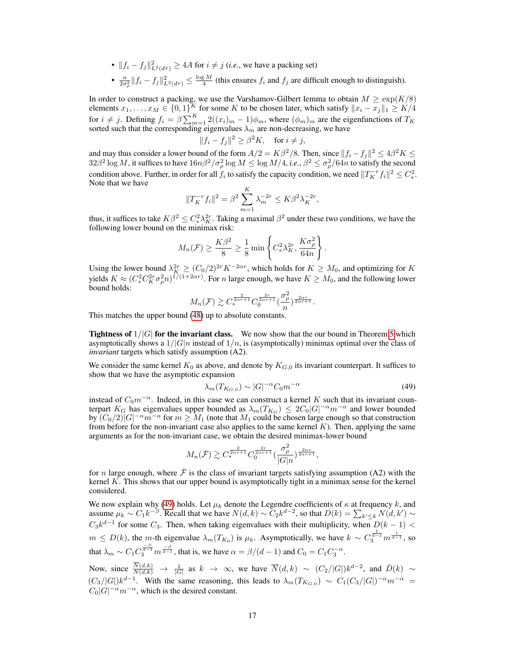- $||f_i f_j||_{L^2(d\tau)}^2 \ge 4A$  for  $i \ne j$  (*i.e.*, we have a packing set)
- $\frac{n}{2\sigma_p^2} ||f_i f_j||^2_{L^2(d\tau)} \le \frac{\log M}{4}$  (this ensures  $f_i$  and  $f_j$  are difficult enough to distinguish).

In order to construct a packing, we use the Varshamov-Gilbert lemma to obtain  $M \geq \exp(K/8)$ elements  $x_1, \ldots, x_M \in \{0,1\}^K$  for some K to be chosen later, which satisfy  $||x_i - x_j||_1 \geq K/4$ for  $i \neq j$ . Defining  $f_i = \beta \sum_{m=1}^{K} 2((x_i)_m - 1)\phi_m$ , where  $(\phi_m)_m$  are the eigenfunctions of  $T_K$ sorted such that the corresponding eigenvalues  $\lambda_m$  are non-decreasing, we have

$$
||f_i - f_j||^2 \ge \beta^2 K, \quad \text{for } i \ne j,
$$

and may thus consider a lower bound of the form  $A/2 = K\beta^2/8$ . Then, since  $||f_i - f_j||^2 \le 4\beta^2 K \le$  $32\beta^2\log M$ , it suffices to have  $16n\beta^2/\sigma_\rho^2\log M \leq \log M/4$ , *i.e.*,  $\beta^2 \leq \sigma_\rho^2/64n$  to satisfy the second condition above. Further, in order for all  $f_i$  to satisfy the capacity condition, we need  $||T_K^{-r}f_i||^2 \leq C_*^2$ . Note that we have

$$
||T_K^{-r} f_i||^2 = \beta^2 \sum_{m=1}^K \lambda_m^{-2r} \le K\beta^2 \lambda_K^{-2r},
$$

thus, it suffices to take  $K\beta^2 \leq C_*^2\lambda_K^{2r}$ . Taking a maximal  $\beta^2$  under these two conditions, we have the following lower bound on the minimax risk:

$$
M_n(\mathcal{F}) \ge \frac{K\beta^2}{8} \ge \frac{1}{8} \min \left\{ C_*^2 \lambda_K^{2r}, \frac{K\sigma_\rho^2}{64n} \right\}.
$$

Using the lower bound  $\lambda_K^{2r} \ge (C_0/2)^{2r} K^{-2\alpha r}$ , which holds for  $K \ge M_0$ , and optimizing for K yields  $K \approx (C_*^2 C_K^2 \sigma_p^2 n)^{1/(1+2\alpha r)}$ . For n large enough, we have  $K \ge M_0$ , and the following lower bound holds:

$$
M_n(\mathcal{F}) \gtrsim C_*^{\frac{2}{2\alpha r+1}} C_0^{\frac{2r}{2\alpha r+1}} \left(\frac{\sigma_\rho^2}{n}\right)^{\frac{2\alpha r}{2\alpha r+1}}.
$$

This matches the upper bound [\(48\)](#page-15-2) up to absolute constants.

**Tightness of**  $1/|G|$  for the invariant class. We now show that the our bound in Theorem [5](#page-4-0) which asymptotically shows a  $1/|G|n$  instead of  $1/n$ , is (asymptotically) minimax optimal over the class of *invariant* targets which satisfy assumption (A2).

We consider the same kernel  $K_0$  as above, and denote by  $K_{G,0}$  its invariant counterpart. It suffices to show that we have the asymptotic expansion

<span id="page-16-0"></span>
$$
\lambda_m(T_{K_{G,0}}) \sim |G|^{-\alpha} C_0 m^{-\alpha} \tag{49}
$$

instead of  $C_0m^{-\alpha}$ . Indeed, in this case we can construct a kernel K such that its invariant counterpart  $K_G$  has eigenvalues upper bounded as  $\lambda_m(T_{K_G}) \leq 2C_0|G|^{-\alpha}m^{-\alpha}$  and lower bounded by  $(C_0/2)|G|^{-\alpha}m^{-\alpha}$  for  $m \ge M_1$  (note that  $M_1$  could be chosen large enough so that construction from before for the non-invariant case also applies to the same kernel  $K$ ). Then, applying the same arguments as for the non-invariant case, we obtain the desired minimax-lower bound

$$
M_n(\bar{\mathcal{F}}) \gtrsim C_*^{\frac{2}{2\alpha r + 1}} C_0^{\frac{2r}{2\alpha r + 1}} \left(\frac{\sigma_\rho^2}{|G|n}\right)^{\frac{2\alpha r}{2\alpha r + 1}},
$$

for n large enough, where  $\bar{\mathcal{F}}$  is the class of invariant targets satisfying assumption (A2) with the kernel  $K$ . This shows that our upper bound is asymptotically tight in a minimax sense for the kernel considered.

We now explain why [\(49\)](#page-16-0) holds. Let  $\mu_k$  denote the Legendre coefficients of  $\kappa$  at frequency k, and assume  $\mu_k \sim C_1 k^{-\beta}$ . Recall that we have  $N(d, k) \sim C_2 k^{d-2}$ , so that  $D(k) = \sum_{k' \leq k} N(d, k') \sim$  $C_3k^{d-1}$  for some  $C_3$ . Then, when taking eigenvalues with their multiplicity, when  $D(k-1)$  <  $m \leq D(k)$ , the m-th eigenvalue  $\lambda_m(T_{K_0})$  is  $\mu_k$ . Asymptotically, we have  $k \sim C_3^{\frac{1}{d-1}} m^{\frac{1}{d-1}}$ , so that  $\lambda_m \sim C_1 C_3^{\frac{-\beta}{d-1}} m^{\frac{-\beta}{d-1}}$ , that is, we have  $\alpha = \beta/(d-1)$  and  $C_0 = C_1 C_3^{-\alpha}$ .

Now, since  $\frac{N(d,k)}{N(d,k)} \to \frac{1}{|G|}$  as  $k \to \infty$ , we have  $\overline{N}(d,k) \sim (C_2/|G|)k^{d-2}$ , and  $\overline{D}(k) \sim$  $(C_3/|G|)k^{d-1}$ . With the same reasoning, this leads to  $\lambda_m(T_{K_{G,0}}) \sim C_1(C_3/|G|)^{-\alpha}m^{-\alpha}$  $C_0|G|^{-\alpha}m^{-\alpha}$ , which is the desired constant.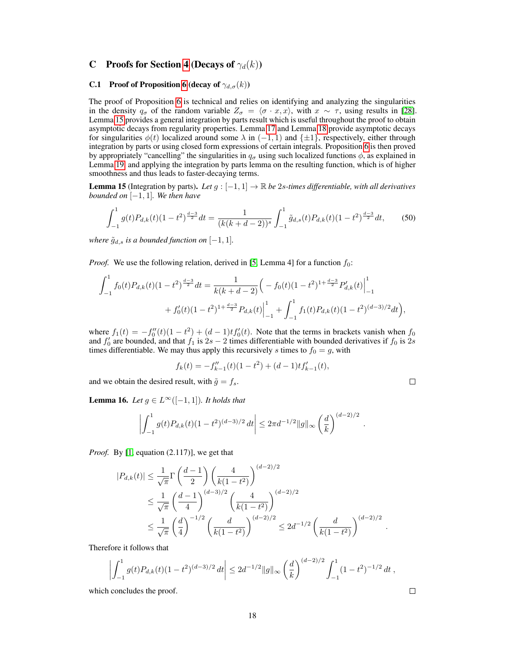### <span id="page-17-0"></span>C Proofs for Section [4](#page-5-0) (Decays of  $\gamma_d(k)$ )

### **C.1** Proof of Proposition [6](#page-5-2) (decay of  $\gamma_{d,\sigma}(k)$ )

The proof of Proposition [6](#page-5-2) is technical and relies on identifying and analyzing the singularities in the density  $q_{\sigma}$  of the random variable  $Z_{\sigma} = \langle \sigma \cdot x, x \rangle$ , with  $x \sim \tau$ , using results in [\[28\]](#page-11-8). Lemma [15](#page-17-1) provides a general integration by parts result which is useful throughout the proof to obtain asymptotic decays from regularity properties. Lemma [17](#page-18-0) and Lemma [18](#page-18-1) provide asymptotic decays for singularities  $\phi(t)$  localized around some  $\lambda$  in  $(-1, 1)$  and  $\{\pm 1\}$ , respectively, either through integration by parts or using closed form expressions of certain integrals. Proposition [6](#page-5-2) is then proved by appropriately "cancelling" the singularities in  $q_{\sigma}$  using such localized functions  $\phi$ , as explained in Lemma [19,](#page-19-0) and applying the integration by parts lemma on the resulting function, which is of higher smoothness and thus leads to faster-decaying terms.

<span id="page-17-1"></span>**Lemma 15** (Integration by parts). Let  $g$  :  $[-1, 1]$  → R *be* 2*s*-times differentiable, with all derivatives *bounded on* [−1, 1]*. We then have*

<span id="page-17-3"></span>
$$
\int_{-1}^{1} g(t)P_{d,k}(t)(1-t^2)^{\frac{d-3}{2}}dt = \frac{1}{(k(k+d-2))^s} \int_{-1}^{1} \tilde{g}_{d,s}(t)P_{d,k}(t)(1-t^2)^{\frac{d-3}{2}}dt,\tag{50}
$$

*where*  $\tilde{g}_{d,s}$  *is a bounded function on*  $[-1, 1]$ *.* 

*Proof.* We use the following relation, derived in [\[5,](#page-10-19) Lemma 4] for a function  $f_0$ :

$$
\int_{-1}^{1} f_0(t) P_{d,k}(t) (1-t^2)^{\frac{d-3}{2}} dt = \frac{1}{k(k+d-2)} \Big( -f_0(t) (1-t^2)^{1+\frac{d-3}{2}} P'_{d,k}(t) \Big|_{-1}^{1} + f'_0(t) (1-t^2)^{1+\frac{d-3}{2}} P_{d,k}(t) \Big|_{-1}^{1} + \int_{-1}^{1} f_1(t) P_{d,k}(t) (1-t^2)^{(d-3)/2} dt \Big),
$$

where  $f_1(t) = -f_0''(t)(1-t^2) + (d-1)tf_0'(t)$ . Note that the terms in brackets vanish when  $f_0$ and  $f'_0$  are bounded, and that  $f_1$  is  $2s - 2$  times differentiable with bounded derivatives if  $f_0$  is  $2s$ times differentiable. We may thus apply this recursively s times to  $f_0 = g$ , with

$$
f_k(t) = -f_{k-1}''(t)(1-t^2) + (d-1)tf_{k-1}'(t),
$$

and we obtain the desired result, with  $\tilde{g} = f_s$ .

$$
\qquad \qquad \Box
$$

.

<span id="page-17-2"></span>**Lemma 16.** *Let*  $g \in L^\infty([-1, 1])$ *. It holds that* 

$$
\left| \int_{-1}^{1} g(t) P_{d,k}(t) (1-t^2)^{(d-3)/2} dt \right| \leq 2\pi d^{-1/2} \|g\|_{\infty} \left(\frac{d}{k}\right)^{(d-2)/2}
$$

*Proof.* By [\[1,](#page-10-9) equation (2.117)], we get that

$$
|P_{d,k}(t)| \leq \frac{1}{\sqrt{\pi}} \Gamma\left(\frac{d-1}{2}\right) \left(\frac{4}{k(1-t^2)}\right)^{(d-2)/2}
$$
  
\$\leq \frac{1}{\sqrt{\pi}} \left(\frac{d-1}{4}\right)^{(d-3)/2} \left(\frac{4}{k(1-t^2)}\right)^{(d-2)/2}\$  
\$\leq \frac{1}{\sqrt{\pi}} \left(\frac{d}{4}\right)^{-1/2} \left(\frac{d}{k(1-t^2)}\right)^{(d-2)/2} \leq 2d^{-1/2} \left(\frac{d}{k(1-t^2)}\right)^{(d-2)/2}.

Therefore it follows that

$$
\left| \int_{-1}^1 g(t) P_{d,k}(t) (1-t^2)^{(d-3)/2} dt \right| \leq 2d^{-1/2} \|g\|_{\infty} \left(\frac{d}{k}\right)^{(d-2)/2} \int_{-1}^1 (1-t^2)^{-1/2} dt,
$$

which concludes the proof.

$$
\qquad \qquad \Box
$$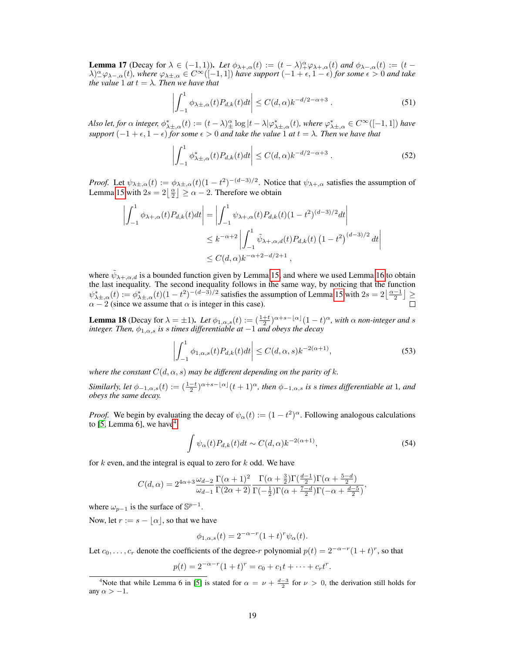<span id="page-18-0"></span>**Lemma 17** (Decay for  $\lambda \in (-1,1)$ ). Let  $\phi_{\lambda+\alpha}(t) := (t-\lambda)^\alpha_+\varphi_{\lambda+\alpha}(t)$  and  $\phi_{\lambda-\alpha}(t) := (t-\lambda)^\alpha_+\varphi_{\lambda+\alpha}(t)$  $\lambda)_{-\infty}^{\alpha}$   $\varphi_{\lambda-1,\alpha}(t)$ *, where*  $\varphi_{\lambda\pm,\alpha} \in C^{\infty}([-1,1])$  *have support*  $(-1+\epsilon,1-\epsilon)$  *for some*  $\epsilon > 0$  *and take the value* 1 *at*  $t = \lambda$ *. Then we have that* 

$$
\left| \int_{-1}^{1} \phi_{\lambda \pm, \alpha}(t) P_{d,k}(t) dt \right| \le C(d, \alpha) k^{-d/2 - \alpha + 3} . \tag{51}
$$

*Also let, for*  $\alpha$  *integer,*  $\phi_{\lambda\pm,\alpha}^*(t) := (t-\lambda)\frac{\alpha}{\pm}\log|t-\lambda|\varphi_{\lambda\pm,\alpha}^*(t)$ , where  $\varphi_{\lambda\pm,\alpha}^* \in C^\infty([-1,1])$  have *support*  $(-1 + \epsilon, 1 - \epsilon)$  *for some*  $\epsilon > 0$  *and take the value* 1 *at*  $t = \lambda$ . *Then we have that* 

$$
\left| \int_{-1}^{1} \phi_{\lambda \pm, \alpha}^{*}(t) P_{d,k}(t) dt \right| \le C(d, \alpha) k^{-d/2 - \alpha + 3} . \tag{52}
$$

*Proof.* Let  $\psi_{\lambda \pm, \alpha}(t) := \phi_{\lambda \pm, \alpha}(t) (1 - t^2)^{-(d-3)/2}$ . Notice that  $\psi_{\lambda +, \alpha}$  satisfies the assumption of Lemma [15](#page-17-1) with  $2s = 2\left\lfloor \frac{\alpha}{2} \right\rfloor \ge \alpha - 2$ . Therefore we obtain

$$
\left| \int_{-1}^{1} \phi_{\lambda+\alpha}(t) P_{d,k}(t) dt \right| = \left| \int_{-1}^{1} \psi_{\lambda+\alpha}(t) P_{d,k}(t) (1-t^2)^{(d-3)/2} dt \right|
$$
  

$$
\leq k^{-\alpha+2} \left| \int_{-1}^{1} \tilde{\psi}_{\lambda+\alpha,d}(t) P_{d,k}(t) (1-t^2)^{(d-3)/2} dt \right|
$$
  

$$
\leq C(d,\alpha) k^{-\alpha+2-d/2+1},
$$

where  $\tilde{\psi}_{\lambda+\alpha,d}$  is a bounded function given by Lemma [15,](#page-17-1) and where we used Lemma [16](#page-17-2) to obtain the last inequality. The second inequality follows in the same way, by noticing that the function  $\psi_{\lambda\pm,\alpha}^*(t) := \phi_{\lambda\pm,\alpha}^*(t) (1-t^2)^{-(d-3)/2}$  satisfies the assumption of Lemma [15](#page-17-1) with  $2s = 2\left\lfloor \frac{\alpha-1}{2} \right\rfloor \ge$  $\alpha - 2$  (since we assume that  $\alpha$  is integer in this case).

<span id="page-18-1"></span>**Lemma 18** (Decay for  $\lambda = \pm 1$ ). Let  $\phi_{1,\alpha,s}(t) := (\frac{1+t}{2})^{\alpha+s-\lfloor \alpha \rfloor}(1-t)^{\alpha}$ , with  $\alpha$  non-integer and s *integer. Then,* φ1,α,s *is* s *times differentiable at* −1 *and obeys the decay*

$$
\left| \int_{-1}^{1} \phi_{1,\alpha,s}(t) P_{d,k}(t) dt \right| \le C(d,\alpha,s) k^{-2(\alpha+1)},\tag{53}
$$

*where the constant*  $C(d, \alpha, s)$  *may be different depending on the parity of k.* 

*Similarly, let*  $\phi_{-1,\alpha,s}(t) := (\frac{1-t}{2})^{\alpha+s-\lfloor\alpha\rfloor}(t+1)^{\alpha}$ , then  $\phi_{-1,\alpha,s}$  is s times differentiable at 1, and *obeys the same decay.*

*Proof.* We begin by evaluating the decay of  $\psi_{\alpha}(t) := (1 - t^2)^{\alpha}$ . Following analogous calculations to [\[5,](#page-10-19) Lemma 6], we have  $4$ 

<span id="page-18-3"></span>
$$
\int \psi_{\alpha}(t) P_{d,k}(t) dt \sim C(d,\alpha) k^{-2(\alpha+1)},\tag{54}
$$

for  $k$  even, and the integral is equal to zero for  $k$  odd. We have

$$
C(d, \alpha) = 2^{4\alpha + 3} \frac{\omega_{d-2}}{\omega_{d-1}} \frac{\Gamma(\alpha + 1)^2}{\Gamma(2\alpha + 2)} \frac{\Gamma(\alpha + \frac{3}{2}) \Gamma(\frac{d-1}{2}) \Gamma(\alpha + \frac{5-d}{2})}{\Gamma(-\frac{1}{2}) \Gamma(\alpha + \frac{7-d}{2}) \Gamma(-\alpha + \frac{d-5}{2})},
$$

where  $\omega_{p-1}$  is the surface of  $\mathbb{S}^{p-1}$ .

Now, let  $r := s - |\alpha|$ , so that we have

$$
\phi_{1,\alpha,s}(t) = 2^{-\alpha-r}(1+t)^r \psi_\alpha(t).
$$

Let  $c_0, \ldots, c_r$  denote the coefficients of the degree-r polynomial  $p(t) = 2^{-\alpha-r}(1+t)^r$ , so that

$$
p(t) = 2^{-\alpha-r}(1+t)^r = c_0 + c_1t + \dots + c_rt^r.
$$

<span id="page-18-2"></span><sup>&</sup>lt;sup>4</sup>Note that while Lemma 6 in [\[5\]](#page-10-19) is stated for  $\alpha = \nu + \frac{d-3}{2}$  for  $\nu > 0$ , the derivation still holds for any  $\alpha > -1$ .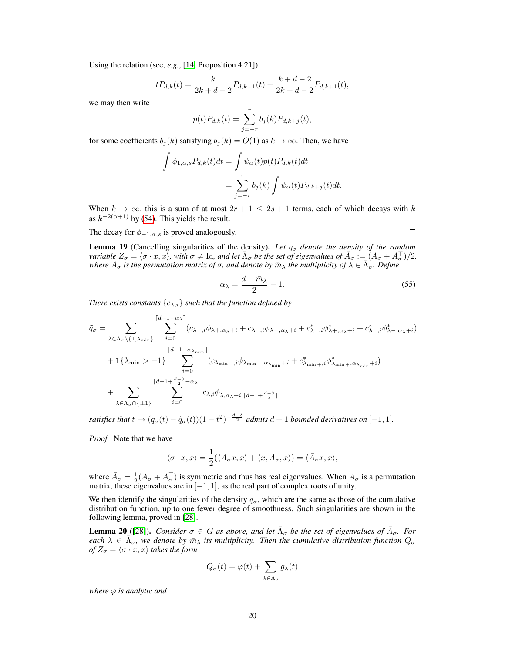Using the relation (see, *e.g.*, [\[14,](#page-10-0) Proposition 4.21])

$$
tP_{d,k}(t) = \frac{k}{2k+d-2}P_{d,k-1}(t) + \frac{k+d-2}{2k+d-2}P_{d,k+1}(t),
$$

we may then write

$$
p(t)P_{d,k}(t) = \sum_{j=-r}^{r} b_j(k)P_{d,k+j}(t),
$$

for some coefficients  $b_i(k)$  satisfying  $b_i(k) = O(1)$  as  $k \to \infty$ . Then, we have

$$
\int \phi_{1,\alpha,s} P_{d,k}(t)dt = \int \psi_{\alpha}(t)p(t)P_{d,k}(t)dt
$$

$$
= \sum_{j=-r}^{r} b_j(k) \int \psi_{\alpha}(t)P_{d,k+j}(t)dt.
$$

When  $k \to \infty$ , this is a sum of at most  $2r + 1 \le 2s + 1$  terms, each of which decays with k as  $k^{-2(\alpha+1)}$  by [\(54\)](#page-18-3). This yields the result.

The decay for  $\phi_{-1,\alpha,s}$  is proved analogously.

<span id="page-19-1"></span>
$$
\qquad \qquad \Box
$$

<span id="page-19-0"></span>**Lemma 19** (Cancelling singularities of the density). Let  $q_{\sigma}$  denote the density of the random *variable*  $Z_{\sigma} = \langle \sigma \cdot x, x \rangle$ *, with*  $\sigma \neq$  Id*, and let*  $\bar{\Lambda}_{\sigma}$  *be the set of eigenvalues of*  $\bar{A}_{\sigma} := (A_{\sigma} + A_{\sigma}^{\top})/2$ *,* where  $A_{\sigma}$  is the permutation matrix of  $\sigma$ , and denote by  $\bar{m}_{\lambda}$  the multiplicity of  $\lambda \in \bar{\Lambda}_{\sigma}$ . Define

$$
\alpha_{\lambda} = \frac{d - \bar{m}_{\lambda}}{2} - 1. \tag{55}
$$

*There exists constants*  $\{c_{\lambda,i}\}\$  *such that the function defined by* 

$$
\tilde{q}_{\sigma} = \sum_{\lambda \in \Lambda_{\sigma} \setminus \{1, \lambda_{\min}\}} \sum_{i=0}^{\lceil d+1-\alpha_{\lambda} \rceil} (c_{\lambda_{+},i} \phi_{\lambda_{+},\alpha_{\lambda}+i} + c_{\lambda_{-},i} \phi_{\lambda_{-},\alpha_{\lambda}+i} + c_{\lambda_{+},i}^{*} \phi_{\lambda_{+},\alpha_{\lambda}+i}^{*} + c_{\lambda_{-},i}^{*} \phi_{\lambda_{-},\alpha_{\lambda}+i}^{*})
$$
\n
$$
+ 1\{\lambda_{\min} > -1\} \sum_{i=0}^{\lceil d+1-\alpha_{\lambda_{\min}} \rceil} (c_{\lambda_{\min}+},i\phi_{\lambda_{\min}+},\alpha_{\lambda_{\min}+i} + c_{\lambda_{\min}+},i\phi_{\lambda_{\min}+},\alpha_{\lambda_{\min}+i})
$$
\n
$$
+ \sum_{\lambda \in \Lambda_{\sigma} \cap \{\pm 1\}} \sum_{i=0}^{\lceil d+1+\frac{d-3}{2}-\alpha_{\lambda} \rceil} c_{\lambda,i} \phi_{\lambda,\alpha_{\lambda}+i,\lceil d+1+\frac{d-3}{2} \rceil}
$$

satisfies that  $t \mapsto (q_{\sigma}(t) - \tilde{q}_{\sigma}(t))(1 - t^2)^{-\frac{d-3}{2}}$  admits  $d+1$  bounded derivatives on  $[-1, 1]$ .

*Proof.* Note that we have

$$
\langle \sigma \cdot x, x \rangle = \frac{1}{2} (\langle A_{\sigma} x, x \rangle + \langle x, A_{\sigma}, x \rangle) = \langle \overline{A}_{\sigma} x, x \rangle,
$$

where  $\bar{A}_{\sigma} = \frac{1}{2}(A_{\sigma} + A_{\sigma}^{T})$  is symmetric and thus has real eigenvalues. When  $A_{\sigma}$  is a permutation matrix, these eigenvalues are in  $[-1, 1]$ , as the real part of complex roots of unity.

We then identify the singularities of the density  $q_{\sigma}$ , which are the same as those of the cumulative distribution function, up to one fewer degree of smoothness. Such singularities are shown in the following lemma, proved in [\[28\]](#page-11-8).

**Lemma 20** ([\[28\]](#page-11-8)). *Consider*  $\sigma \in G$  *as above, and let*  $\bar{\Lambda}_{\sigma}$  *be the set of eigenvalues of*  $\bar{A}_{\sigma}$ . *For* each  $\lambda \in \overline{\Lambda}_{\sigma}$ , we denote by  $\overline{m}_{\lambda}$  its multiplicity. Then the cumulative distribution function  $Q_{\sigma}$ *of*  $Z_{\sigma} = \langle \sigma \cdot x, x \rangle$  *takes the form* 

$$
Q_{\sigma}(t) = \varphi(t) + \sum_{\lambda \in \bar{\Lambda}_{\sigma}} g_{\lambda}(t)
$$

*where*  $\varphi$  *is analytic and*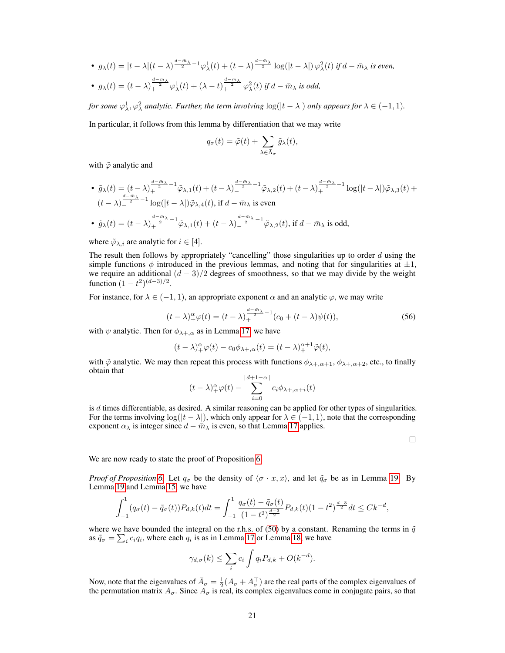•  $g_{\lambda}(t) = |t - \lambda|(t - \lambda)^{\frac{d - \tilde{m}_{\lambda}}{2} - 1} \varphi_{\lambda}^{1}(t) + (t - \lambda)^{\frac{d - \tilde{m}_{\lambda}}{2}} \log(|t - \lambda|) \varphi_{\lambda}^{2}(t)$  if  $d - \bar{m}_{\lambda}$  is even, •  $g_{\lambda}(t) = (t - \lambda) \frac{d - \bar{m}_{\lambda}}{2} \varphi_{\lambda}^{1}(t) + (\lambda - t) \frac{d - \bar{m}_{\lambda}}{2} \varphi_{\lambda}^{2}(t)$  *if*  $d - \bar{m}_{\lambda}$  *is odd,* 

*for some*  $\varphi^1_\lambda, \varphi^2_\lambda$  analytic. Further, the term involving  $\log(|t-\lambda|)$  only appears for  $\lambda \in (-1,1)$ .

In particular, it follows from this lemma by differentiation that we may write

$$
q_{\sigma}(t) = \tilde{\varphi}(t) + \sum_{\lambda \in \bar{\Lambda}_{\sigma}} \tilde{g}_{\lambda}(t),
$$

with  $\tilde{\varphi}$  analytic and

• 
$$
\tilde{g}_{\lambda}(t) = (t - \lambda)_{+}^{\frac{d - \tilde{m}_{\lambda}}{2} - 1} \tilde{\varphi}_{\lambda,1}(t) + (t - \lambda)_{-}^{\frac{d - \tilde{m}_{\lambda}}{2} - 1} \tilde{\varphi}_{\lambda,2}(t) + (t - \lambda)_{+}^{\frac{d - \tilde{m}_{\lambda}}{2} - 1} \log(|t - \lambda|) \tilde{\varphi}_{\lambda,3}(t) + (t - \lambda)_{-}^{\frac{d - \tilde{m}_{\lambda}}{2} - 1} \log(|t - \lambda|) \tilde{\varphi}_{\lambda,4}(t), \text{ if } d - \bar{m}_{\lambda} \text{ is even}
$$
\n• 
$$
\tilde{g}_{\lambda}(t) = (t - \lambda)_{+}^{\frac{d - \tilde{m}_{\lambda}}{2} - 1} \tilde{\varphi}_{\lambda,1}(t) + (t - \lambda)_{-}^{\frac{d - \tilde{m}_{\lambda}}{2} - 1} \tilde{\varphi}_{\lambda,2}(t), \text{ if } d - \bar{m}_{\lambda} \text{ is odd},
$$

where  $\tilde{\varphi}_{\lambda,i}$  are analytic for  $i \in [4]$ .

The result then follows by appropriately "cancelling" those singularities up to order  $d$  using the simple functions  $\phi$  introduced in the previous lemmas, and noting that for singularities at  $\pm 1$ , we require an additional  $(d-3)/2$  degrees of smoothness, so that we may divide by the weight function  $(1 - t^2)^{(d-3)/2}$ .

For instance, for  $\lambda \in (-1, 1)$ , an appropriate exponent  $\alpha$  and an analytic  $\varphi$ , we may write

$$
(t - \lambda)_{+}^{\alpha} \varphi(t) = (t - \lambda)_{+}^{\frac{d - \tilde{m}_{\lambda}}{2} - 1} (c_0 + (t - \lambda) \psi(t)),
$$
\n(56)

with  $\psi$  analytic. Then for  $\phi_{\lambda+\alpha}$  as in Lemma [17,](#page-18-0) we have

$$
(t - \lambda)_+^{\alpha} \varphi(t) - c_0 \phi_{\lambda +, \alpha}(t) = (t - \lambda)_+^{\alpha + 1} \tilde{\varphi}(t),
$$

with  $\tilde{\varphi}$  analytic. We may then repeat this process with functions  $\phi_{\lambda+\alpha+1}, \phi_{\lambda+\alpha+2}$ , etc., to finally obtain that

$$
(t - \lambda)_{+}^{\alpha} \varphi(t) - \sum_{i=0}^{\lceil d+1 - \alpha \rceil} c_i \phi_{\lambda +, \alpha + i}(t)
$$

is  $d$  times differentiable, as desired. A similar reasoning can be applied for other types of singularities. For the terms involving  $\log(|t - \lambda|)$ , which only appear for  $\lambda \in (-1, 1)$ , note that the corresponding exponent  $\alpha_{\lambda}$  is integer since  $d - \overline{m}_{\lambda}$  is even, so that Lemma [17](#page-18-0) applies.

 $\Box$ 

We are now ready to state the proof of Proposition [6.](#page-5-2)

*Proof of Proposition* [6.](#page-5-2) Let  $q_{\sigma}$  be the density of  $\langle \sigma \cdot x, x \rangle$ , and let  $\tilde{q}_{\sigma}$  be as in Lemma [19.](#page-19-0) By Lemma [19](#page-19-0) and Lemma [15,](#page-17-1) we have

$$
\int_{-1}^{1} (q_{\sigma}(t) - \tilde{q}_{\sigma}(t)) P_{d,k}(t) dt = \int_{-1}^{1} \frac{q_{\sigma}(t) - \tilde{q}_{\sigma}(t)}{(1 - t^2)^{\frac{d-3}{2}}} P_{d,k}(t) (1 - t^2)^{\frac{d-3}{2}} dt \leq C k^{-d},
$$

where we have bounded the integral on the r.h.s. of [\(50\)](#page-17-3) by a constant. Renaming the terms in  $\tilde{q}$ as  $\tilde{q}_{\sigma} = \sum_i c_i q_i$ , where each  $q_i$  is as in Lemma [17](#page-18-0) or Lemma [18,](#page-18-1) we have

$$
\gamma_{d,\sigma}(k) \le \sum_i c_i \int q_i P_{d,k} + O(k^{-d}).
$$

Now, note that the eigenvalues of  $\bar{A}_{\sigma} = \frac{1}{2}(A_{\sigma} + A_{\sigma}^{\top})$  are the real parts of the complex eigenvalues of the permutation matrix  $A_{\sigma}$ . Since  $A_{\sigma}$  is real, its complex eigenvalues come in conjugate pairs, so that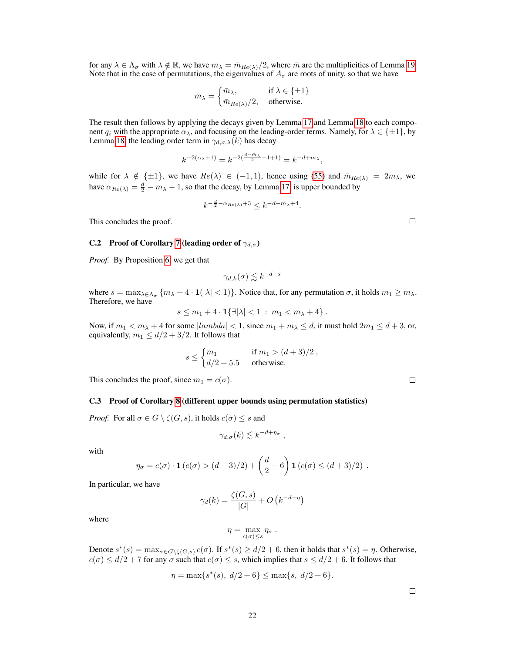for any  $\lambda \in \Lambda_{\sigma}$  with  $\lambda \notin \mathbb{R}$ , we have  $m_{\lambda} = \bar{m}_{Re(\lambda)}/2$ , where  $\bar{m}$  are the multiplicities of Lemma [19.](#page-19-0) Note that in the case of permutations, the eigenvalues of  $A_{\sigma}$  are roots of unity, so that we have

$$
m_{\lambda} = \begin{cases} \bar{m}_{\lambda}, & \text{if } \lambda \in \{\pm 1\} \\ \bar{m}_{Re(\lambda)}/2, & \text{otherwise.} \end{cases}
$$

The result then follows by applying the decays given by Lemma [17](#page-18-0) and Lemma [18](#page-18-1) to each component  $q_i$  with the appropriate  $\alpha_\lambda$ , and focusing on the leading-order terms. Namely, for  $\lambda \in \{\pm 1\}$ , by Lemma [18,](#page-18-1) the leading order term in  $\gamma_{d,\sigma,\lambda}(k)$  has decay

$$
k^{-2(\alpha_{\lambda}+1)} = k^{-2(\frac{d-\bar{m}_{\lambda}}{2}-1+1)} = k^{-d+m_{\lambda}},
$$

while for  $\lambda \notin {\pm 1}$ , we have  $Re(\lambda) \in (-1, 1)$ , hence using [\(55\)](#page-19-1) and  $\bar{m}_{Re(\lambda)} = 2m_{\lambda}$ , we have  $\alpha_{Re(\lambda)} = \frac{d}{2} - m_{\lambda} - 1$ , so that the decay, by Lemma [17,](#page-18-0) is upper bounded by

$$
k^{-\frac{d}{2} - \alpha_{Re(\lambda)} + 3} \le k^{-d + m_{\lambda} + 4}.
$$

This concludes the proof.

#### C.2 Proof of Corollary [7](#page-5-1) (leading order of  $\gamma_{d,\sigma}$ )

*Proof.* By Proposition [6,](#page-5-2) we get that

$$
\gamma_{d,k}(\sigma) \lesssim k^{-d+s}
$$

where  $s = \max_{\lambda \in \Lambda_{\sigma}} \{m_{\lambda} + 4 \cdot \mathbf{1}(|\lambda| < 1)\}\.$  Notice that, for any permutation  $\sigma$ , it holds  $m_1 \geq m_{\lambda}$ . Therefore, we have

$$
s \le m_1 + 4 \cdot \mathbf{1}{\{\exists |\lambda| < 1 \, : \, m_1 < m_\lambda + 4\}}.
$$

Now, if  $m_1 < m_\lambda + 4$  for some  $|lambda| < 1$ , since  $m_1 + m_\lambda \le d$ , it must hold  $2m_1 \le d + 3$ , or, equivalently,  $m_1 \le d/2 + 3/2$ . It follows that

$$
s \leq \begin{cases} m_1 & \text{if } m_1 > (d+3)/2 \\ d/2 + 5.5 & \text{otherwise.} \end{cases}
$$

This concludes the proof, since  $m_1 = c(\sigma)$ .

#### C.3 Proof of Corollary [8](#page-6-1) (different upper bounds using permutation statistics)

*Proof.* For all  $\sigma \in G \setminus \zeta(G, s)$ , it holds  $c(\sigma) \leq s$  and

$$
\gamma_{d,\sigma}(k) \lesssim k^{-d+\eta_{\sigma}} ,
$$

with

$$
\eta_{\sigma} = c(\sigma) \cdot \mathbf{1} (c(\sigma) > (d+3)/2) + \left(\frac{d}{2} + 6\right) \mathbf{1} (c(\sigma) \le (d+3)/2) .
$$

In particular, we have

$$
\gamma_d(k) = \frac{\zeta(G, s)}{|G|} + O\left(k^{-d + \eta}\right)
$$

where

$$
\eta = \max_{c(\sigma) \leq s} \eta_\sigma \; .
$$

Denote  $s^*(s) = \max_{\sigma \in G \setminus \zeta(G,s)} c(\sigma)$ . If  $s^*(s) \ge d/2 + 6$ , then it holds that  $s^*(s) = \eta$ . Otherwise,  $c(\sigma) \le d/2 + 7$  for any  $\sigma$  such that  $c(\sigma) \le s$ , which implies that  $s \le d/2 + 6$ . It follows that

$$
\eta = \max\{s^*(s), \ d/2 + 6\} \le \max\{s, \ d/2 + 6\}.
$$

 $\Box$ 

 $\Box$ 

 $\Box$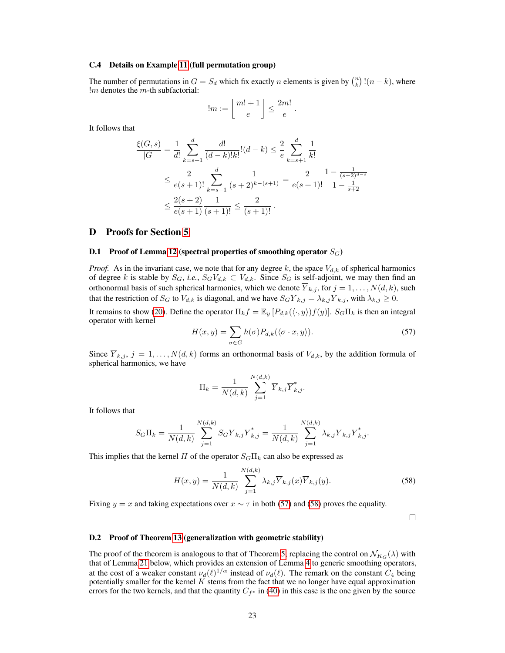#### C.4 Details on Example [11](#page-6-5) (full permutation group)

The number of permutations in  $G = S_d$  which fix exactly n elements is given by  $\binom{n}{k}$ ! $(n - k)$ , where  $!m$  denotes the  $m$ -th subfactorial:

$$
!m := \left\lfloor \frac{m!+1}{e} \right\rfloor \leq \frac{2m!}{e}.
$$

It follows that

$$
\frac{\xi(G,s)}{|G|} = \frac{1}{d!} \sum_{k=s+1}^{d} \frac{d!}{(d-k)!k!}!(d-k) \le \frac{2}{e} \sum_{k=s+1}^{d} \frac{1}{k!}
$$
  

$$
\le \frac{2}{e(s+1)!} \sum_{k=s+1}^{d} \frac{1}{(s+2)^{k-(s+1)}} = \frac{2}{e(s+1)!} \frac{1 - \frac{1}{(s+2)^{d-s}}}{1 - \frac{1}{s+2}}
$$
  

$$
\le \frac{2(s+2)}{e(s+1)} \frac{1}{(s+1)!} \le \frac{2}{(s+1)!}.
$$

### <span id="page-22-0"></span>D Proofs for Section [5](#page-7-0)

#### **D.1** Proof of Lemma [12](#page-7-3) (spectral properties of smoothing operator  $S_G$ )

*Proof.* As in the invariant case, we note that for any degree k, the space  $V_{d,k}$  of spherical harmonics of degree k is stable by  $S_G$ , *i.e.*,  $S_GV_{d,k} \subset V_{d,k}$ . Since  $S_G$  is self-adjoint, we may then find an orthonormal basis of such spherical harmonics, which we denote  $Y_{k,j}$ , for  $j = 1, ..., N(d, k)$ , such that the restriction of  $S_G$  to  $V_{d,k}$  is diagonal, and we have  $S_G\overline{Y}_{k,j} = \lambda_{k,j}\overline{Y}_{k,j}$ , with  $\lambda_{k,j} \geq 0$ .

It remains to show [\(20\)](#page-7-2). Define the operator  $\Pi_k f = \mathbb{E}_y [P_{d,k}(\langle \cdot, y \rangle) f(y)]$ .  $S_G \Pi_k$  is then an integral operator with kernel

<span id="page-22-1"></span>
$$
H(x,y) = \sum_{\sigma \in G} h(\sigma) P_{d,k}(\langle \sigma \cdot x, y \rangle).
$$
 (57)

Since  $\overline{Y}_{k,j}, j = 1, \ldots, N(d, k)$  forms an orthonormal basis of  $V_{d,k}$ , by the addition formula of spherical harmonics, we have

$$
\Pi_k = \frac{1}{N(d,k)} \sum_{j=1}^{N(d,k)} \overline{Y}_{k,j} \overline{Y}_{k,j}^*.
$$

It follows that

$$
S_G\Pi_k = \frac{1}{N(d,k)} \sum_{j=1}^{N(d,k)} S_G \overline{Y}_{k,j} \overline{Y}_{k,j}^* = \frac{1}{N(d,k)} \sum_{j=1}^{N(d,k)} \lambda_{k,j} \overline{Y}_{k,j}^* \overline{Y}_{k,j}^*.
$$

This implies that the kernel H of the operator  $S<sub>G</sub>\Pi<sub>k</sub>$  can also be expressed as

$$
H(x,y) = \frac{1}{N(d,k)} \sum_{j=1}^{N(d,k)} \lambda_{k,j} \overline{Y}_{k,j}(x) \overline{Y}_{k,j}(y).
$$
 (58)

Fixing  $y = x$  and taking expectations over  $x \sim \tau$  in both [\(57\)](#page-22-1) and [\(58\)](#page-22-2) proves the equality.

<span id="page-22-2"></span> $\Box$ 

#### D.2 Proof of Theorem [13](#page-7-4) (generalization with geometric stability)

The proof of the theorem is analogous to that of Theorem [5,](#page-4-0) replacing the control on  $\mathcal{N}_{K_{G}}(\lambda)$  with that of Lemma [21](#page-23-0) below, which provides an extension of Lemma [4](#page-3-0) to generic smoothing operators, at the cost of a weaker constant  $\nu_d(\ell)^{1/\alpha}$  instead of  $\nu_d(\ell)$ . The remark on the constant  $C_4$  being potentially smaller for the kernel  $K$  stems from the fact that we no longer have equal approximation errors for the two kernels, and that the quantity  $C_{f^*}$  in [\(40\)](#page-14-2) in this case is the one given by the source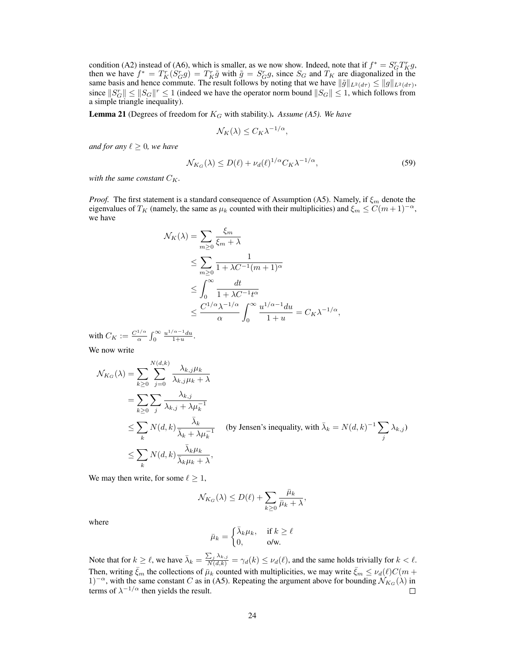condition (A2) instead of (A6), which is smaller, as we now show. Indeed, note that if  $f^* = S_G^r T_K^r g$ , then we have  $f^* = T_K^r(S_G^r g) = T_K^r \tilde{g}$  with  $\tilde{g} = S_G^r g$ , since  $S_G$  and  $T_K$  are diagonalized in the same basis and hence commute. The result follows by noting that we have  $\|\tilde{g}\|_{L^2(d\tau)} \le \|g\|_{L^2(d\tau)}$ , since  $||S_G|| \le ||S_G||^r \le 1$  (indeed we have the operator norm bound  $||S_G|| \le 1$ , which follows from a simple triangle inequality).

<span id="page-23-0"></span>**Lemma 21** (Degrees of freedom for  $K_G$  with stability.). Assume (A5). We have

$$
\mathcal{N}_K(\lambda) \leq C_K \lambda^{-1/\alpha},
$$

*and for any*  $\ell \geq 0$ *, we have* 

$$
\mathcal{N}_{K_G}(\lambda) \le D(\ell) + \nu_d(\ell)^{1/\alpha} C_K \lambda^{-1/\alpha},\tag{59}
$$

with the same constant  $C_K$ .

*Proof.* The first statement is a standard consequence of Assumption (A5). Namely, if  $\xi_m$  denote the eigenvalues of  $T_K$  (namely, the same as  $\mu_k$  counted with their multiplicities) and  $\xi_m \leq C(m+1)^{-\alpha}$ , we have

$$
\mathcal{N}_{K}(\lambda) = \sum_{m \geq 0} \frac{\xi_{m}}{\xi_{m} + \lambda}
$$
\n
$$
\leq \sum_{m \geq 0} \frac{1}{1 + \lambda C^{-1} (m+1)^{\alpha}}
$$
\n
$$
\leq \int_{0}^{\infty} \frac{dt}{1 + \lambda C^{-1} t^{\alpha}}
$$
\n
$$
\leq \frac{C^{1/\alpha} \lambda^{-1/\alpha}}{\alpha} \int_{0}^{\infty} \frac{u^{1/\alpha - 1} du}{1 + u} = C_{K} \lambda^{-1/\alpha},
$$

with  $C_K := \frac{C^{1/\alpha}}{\alpha}$  $rac{1/\alpha}{\alpha} \int_0^\infty \frac{u^{1/\alpha-1}du}{1+u}.$ 

We now write

$$
\mathcal{N}_{K_G}(\lambda) = \sum_{k \ge 0} \sum_{j=0}^{N(d,k)} \frac{\lambda_{k,j} \mu_k}{\lambda_{k,j} \mu_k + \lambda}
$$
  
\n
$$
= \sum_{k \ge 0} \sum_j \frac{\lambda_{k,j}}{\lambda_{k,j} + \lambda \mu_k^{-1}}
$$
  
\n
$$
\le \sum_k N(d,k) \frac{\bar{\lambda}_k}{\bar{\lambda}_k + \lambda \mu_k^{-1}} \quad \text{(by Jensen's inequality, with } \bar{\lambda}_k = N(d,k)^{-1} \sum_j \lambda_{k,j})
$$
  
\n
$$
\le \sum_k N(d,k) \frac{\bar{\lambda}_k \mu_k}{\bar{\lambda}_k \mu_k + \lambda},
$$

We may then write, for some  $\ell \geq 1$ ,

$$
\mathcal{N}_{K_G}(\lambda) \le D(\ell) + \sum_{k \ge 0} \frac{\bar{\mu}_k}{\bar{\mu}_k + \lambda},
$$

where

$$
\bar{\mu}_k = \begin{cases} \bar{\lambda}_k \mu_k, & \text{if } k \ge \ell \\ 0, & \text{o/w.} \end{cases}
$$

Note that for  $k \geq \ell$ , we have  $\bar{\lambda}_k = \frac{\sum_j \lambda_{k,j}}{N(d,k)} = \gamma_d(k) \leq \nu_d(\ell)$ , and the same holds trivially for  $k < \ell$ . Then, writing  $\bar{\xi}_m$  the collections of  $\bar{\mu}_k$  counted with multiplicities, we may write  $\bar{\xi}_m \le \nu_d(\ell)C(m +$ 1)<sup>-α</sup>, with the same constant C as in (A5). Repeating the argument above for bounding  $\mathcal{N}_{K_G}(\lambda)$  in terms of  $\lambda^{-1/\alpha}$  then yields the result.  $\Box$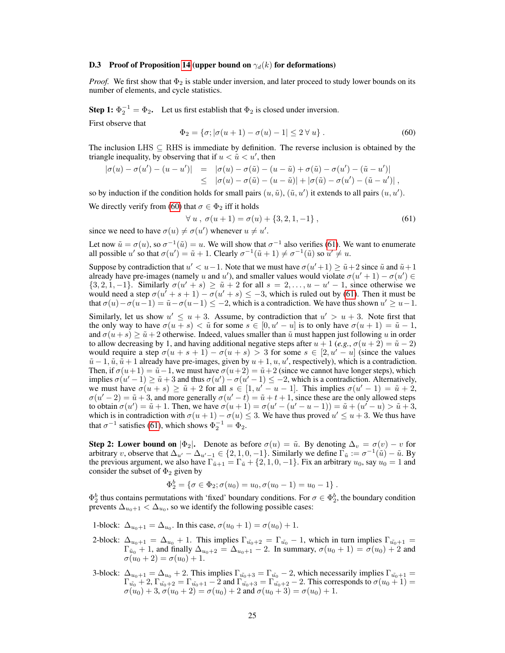#### **D.3** Proof of Proposition [14](#page-8-2) (upper bound on  $\gamma_d(k)$  for deformations)

*Proof.* We first show that  $\Phi_2$  is stable under inversion, and later proceed to study lower bounds on its number of elements, and cycle statistics.

**Step 1:**  $\Phi_2^{-1} = \Phi_2$ . Let us first establish that  $\Phi_2$  is closed under inversion.

First observe that

<span id="page-24-0"></span>
$$
\Phi_2 = \{ \sigma; |\sigma(u+1) - \sigma(u) - 1| \le 2 \,\forall u \} . \tag{60}
$$

The inclusion LHS  $\subset$  RHS is immediate by definition. The reverse inclusion is obtained by the triangle inequality, by observing that if  $u < \tilde{u} < u'$ , then

$$
\begin{array}{rcl}\n|\sigma(u)-\sigma(u')-(u-u')| & = & |\sigma(u)-\sigma(\tilde{u})-(u-\tilde{u})+\sigma(\tilde{u})-\sigma(u')-(\tilde{u}-u')| \\
& \leq & |\sigma(u)-\sigma(\tilde{u})-(u-\tilde{u})|+|\sigma(\tilde{u})-\sigma(u')-(\tilde{u}-u')|\n\end{array},
$$

so by induction if the condition holds for small pairs  $(u, \tilde{u})$ ,  $(\tilde{u}, u')$  it extends to all pairs  $(u, u')$ .

We directly verify from [\(60\)](#page-24-0) that  $\sigma \in \Phi_2$  iff it holds

<span id="page-24-1"></span>
$$
\forall u, \sigma(u+1) = \sigma(u) + \{3, 2, 1, -1\},\tag{61}
$$

since we need to have  $\sigma(u) \neq \sigma(u')$  whenever  $u \neq u'$ .

Let now  $\tilde{u} = \sigma(u)$ , so  $\sigma^{-1}(\tilde{u}) = u$ . We will show that  $\sigma^{-1}$  also verifies [\(61\)](#page-24-1). We want to enumerate all possible u' so that  $\sigma(u') = \tilde{u} + 1$ . Clearly  $\sigma^{-1}(\tilde{u} + 1) \neq \sigma^{-1}(\tilde{u})$  so  $u' \neq u$ .

Suppose by contradiction that  $u' < u-1$ . Note that we must have  $\sigma(u'+1) \ge \tilde{u}+2$  since  $\tilde{u}$  and  $\tilde{u}+1$ already have pre-images (namely u and u'), and smaller values would violate  $\sigma(u'+1) - \sigma(u') \in$  $\{3, 2, 1, -1\}$ . Similarly  $\sigma(u' + s) \ge \tilde{u} + 2$  for all  $s = 2, \ldots, u - u' - 1$ , since otherwise we would need a step  $\sigma(u' + s + 1) - \sigma(u' + s) \leq -3$ , which is ruled out by [\(61\)](#page-24-1). Then it must be that  $\sigma(u) - \sigma(u-1) = \tilde{u} - \sigma(u-1) \leq -2$ , which is a contradiction. We have thus shown  $u' \geq u-1$ .

Similarly, let us show  $u' \leq u + 3$ . Assume, by contradiction that  $u' > u + 3$ . Note first that the only way to have  $\sigma(u + s) < \tilde{u}$  for some  $s \in [0, u' - u]$  is to only have  $\sigma(u + 1) = \tilde{u} - 1$ , and  $\sigma(u+s) \ge \tilde{u}+2$  otherwise. Indeed, values smaller than  $\tilde{u}$  must happen just following u in order to allow decreasing by 1, and having additional negative steps after  $u + 1$  (*e.g.*,  $\sigma(u + 2) = \tilde{u} - 2$ ) would require a step  $\sigma(u + s + 1) - \sigma(u + s) > 3$  for some  $s \in [2, u' - u]$  (since the values  $\tilde{u}$  – 1,  $\tilde{u}$ ,  $\tilde{u}$  + 1 already have pre-images, given by  $u$  + 1,  $u$ ,  $u'$ , respectively), which is a contradiction. Then, if  $\sigma(u+1) = \tilde{u}-1$ , we must have  $\sigma(u+2) = \tilde{u}+2$  (since we cannot have longer steps), which implies  $\sigma(u'-1) \ge \tilde{u} + 3$  and thus  $\sigma(u') - \sigma(u'-1) \le -2$ , which is a contradiction. Alternatively, we must have  $\sigma(u + s) \ge \tilde{u} + 2$  for all  $s \in [1, u' - u - 1]$ . This implies  $\sigma(u' - 1) = \tilde{u} + 2$ ,  $\sigma(u'-2) = \tilde{u} + 3$ , and more generally  $\sigma(u'-t) = \tilde{u} + t + 1$ , since these are the only allowed steps to obtain  $\sigma(u') = \tilde{u} + 1$ . Then, we have  $\sigma(u + 1) = \sigma(u' - (u' - u - 1)) = \tilde{u} + (u' - u) > \tilde{u} + 3$ , which is in contradiction with  $\sigma(u+1) - \sigma(u) \leq 3$ . We have thus proved  $u' \leq u+3$ . We thus have that  $\sigma^{-1}$  satisfies [\(61\)](#page-24-1), which shows  $\Phi_2^{-1} = \Phi_2$ .

Step 2: Lower bound on  $|\Phi_2|$ . Denote as before  $\sigma(u) = \tilde{u}$ . By denoting  $\Delta_v = \sigma(v) - v$  for arbitrary v, observe that  $\Delta_{u'} - \Delta_{u'-1} \in \{2, 1, 0, -1\}$ . Similarly we define  $\overline{\Gamma}_{\tilde{u}} := \sigma^{-1}(\tilde{u}) - \tilde{u}$ . By the previous argument, we also have  $\Gamma_{\tilde{u}+1} = \Gamma_{\tilde{u}} + \{2, 1, 0, -1\}$ . Fix an arbitrary  $u_0$ , say  $u_0 = 1$  and consider the subset of  $\Phi_2$  given by

$$
\Phi_2^b = \{ \sigma \in \Phi_2; \sigma(u_0) = u_0, \sigma(u_0 - 1) = u_0 - 1 \}.
$$

 $\Phi_2^b$  thus contains permutations with 'fixed' boundary conditions. For  $\sigma \in \Phi_2^b$ , the boundary condition prevents  $\Delta_{u_0+1} < \Delta_{u_0}$ , so we identify the following possible cases:

1-block:  $\Delta_{u_0+1} = \Delta_{u_0}$ . In this case,  $\sigma(u_0+1) = \sigma(u_0)+1$ .

- 2-block:  $\Delta_{u_0+1} = \Delta_{u_0} + 1$ . This implies  $\Gamma_{\tilde{u_0}+2} = \Gamma_{\tilde{u_0}} 1$ , which in turn implies  $\Gamma_{\tilde{u_0}+1} =$  $\Gamma_{\tilde{u}_0} + 1$ , and finally  $\Delta_{u_0+2} = \Delta_{u_0+1} - 2$ . In summary,  $\sigma(u_0+1) = \sigma(u_0) + 2$  and  $\sigma(u_0 + 2) = \sigma(u_0) + 1.$
- 3-block:  $\Delta_{u_0+1} = \Delta_{u_0} + 2$ . This implies  $\Gamma_{\tilde{u_0}+3} = \Gamma_{\tilde{u_0}} 2$ , which necessarily implies  $\Gamma_{\tilde{u_0}+1} =$  $\Gamma_{\tilde{u_0}}+2, \Gamma_{\tilde{u_0}+2}=\Gamma_{\tilde{u_0}+1}-2$  and  $\Gamma_{\tilde{u_0}+3}=\Gamma_{\tilde{u_0}+2}-2$ . This corresponds to  $\sigma(u_0+1)=$  $\sigma(u_0) + 3$ ,  $\sigma(u_0 + 2) = \sigma(u_0) + 2$  and  $\sigma(u_0 + 3) = \sigma(u_0) + 1$ .